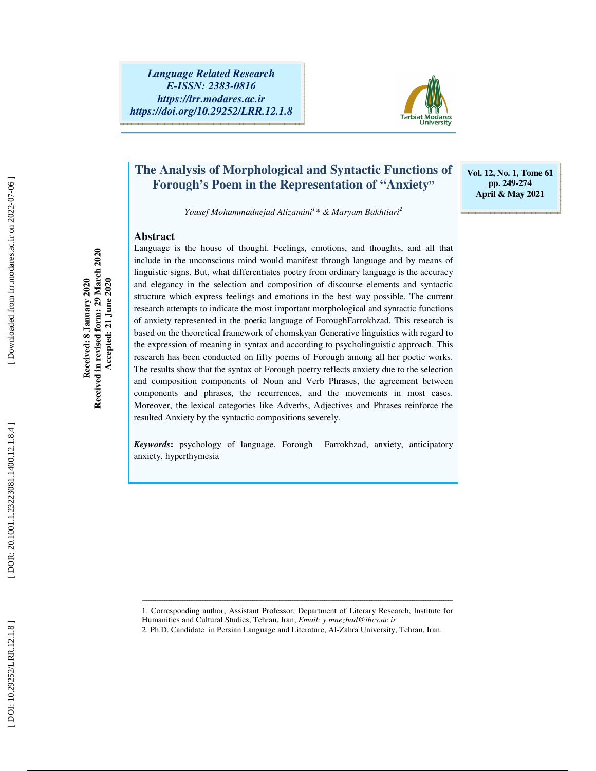

## **The Analysis of Morphological and Syntactic Functions of Forough** '**s Poem in the Representation of "Anxiety "**

**Vol. 12, No. 1, Tome 61 pp. 249-274 April & May 2021** 

*Yousef Mohammadnejad Alizamini 1 \* & Maryam Bakhtiari 2* 

## **Abstract**

Language is the house of thought. Feelings, emotions, and thoughts, and all that include in the unconscious mind would manifest through language and by means of linguistic signs. But, what differentiates poetry from ordinary language is the accuracy and elegancy in the selection and composition of discourse elements and syntactic structure which express feelings and emotions in the best way possible. The current research attempts to indicate the most important morphological and syntactic functions of anxiety represented in the poetic language of ForoughFarrokhzad. This research is based on the theoretical framework of chomskyan Generative linguistics with regard to the expression of meaning in syntax and according to psycholinguistic approach. This research has been conducted on fifty poems of Forough among all her poetic works. The results show that the syntax of Forough poetry reflects anxiety due to the selection and composition components of Noun and Verb Phrases, the agreement between components and phrases, the recurrences, and the movements in most cases. Moreover, the lexical categories like Adverbs, Adjectives and Phrases reinforce the resulted Anxiety by the syntactic compositions severely.

*Keywords* **:** psychology of language, Forough Farrokhzad, anxiety, anticipatory anxiety, hyperthymesia

Downloaded from lrr.modares.ac.ir on 2022-07-06

**Received: 8 January 2020 Received in revised form: 29 March 2020 Accepted: 21 June 2020** 

Received: 8 January 2020<br>Received in revised form: 29 March 2020<br>Accepted: 21 June 2020

ــــــــــــــــــــــــــــــــــــــــــــــــــــــــــــــــــــــــــــــــــــــــــــــــــــــــــــــــــــــــــــــــــــــــــ 1. Corresponding author; Assistant Professor, Department of Literary Research, Institute for Humanities and Cultural Studies, Tehran, Iran; *Email: y.mnezhad@ihcs.ac.ir*

<sup>2.</sup> Ph.D. Candidate in Persian Language and Literature, Al-Zahra University, Tehran, Iran.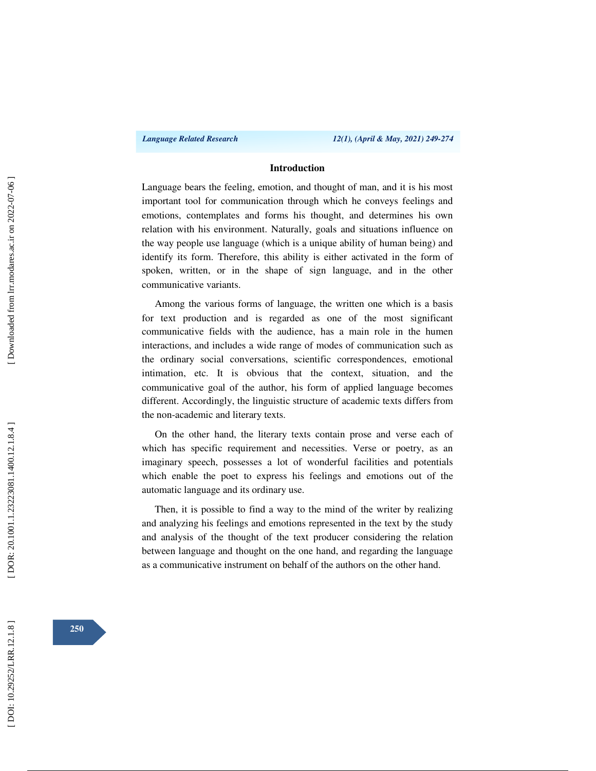## **Introduction**

Language bears the feeling, emotion, and thought of man, and it is his most important tool for communication through which he conveys feelings and emotions, contemplates and forms his thought, and determines his own relation with his environment. Naturally, goals and situations influence on the way people use language (which is a unique ability of human being) and identify its form. Therefore, this ability is either activated in the form of spoken, written, or in the shape of sign language, and in the other communicative variants.

Among the various forms of language, the written one which is a basis for text production and is regarded as one of the most significant communicative fields with the audience, has a main role in the humen interactions, and includes a wide range of modes of communication such as the ordinary social conversations, scientific correspondences, emotional intimation, etc. It is obvious that the context, situation, and the communicative goal of the author, his form of applied language becomes different. Accordingly, the linguistic structure of academic texts differs from the non-academic and literary texts.

On the other hand, the literary texts contain prose and verse each of which has specific requirement and necessities. Verse or poetry, as an imaginary speech, possesses a lot of wonderful facilities and potentials which enable the poet to express his feelings and emotions out of the automatic language and its ordinary use.

Then, it is possible to find a way to the mind of the writer by realizing and analyzing his feelings and emotions represented in the text by the study and analysis of the thought of the text producer considering the relation between language and thought on the one hand, and regarding the language as a communicative instrument on behalf of the authors on the other hand.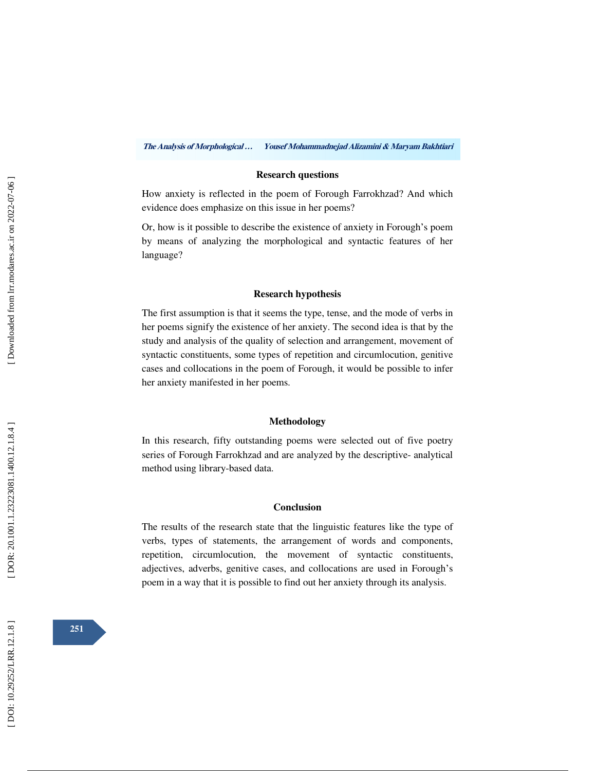**The Analysis of Morphological … Yousef Mohammadnejad Alizamini & Maryam Bakhtiari** 

## **Research questions**

How anxiety is reflected in the poem of Forough Farrokhzad? And which evidence does emphasize on this issue in her poems?

Or, how is it possible to describe the existence of anxiety in Forough 's poem by means of analyzing the morphological and syntactic features of her language?

### **Research hypothesis**

The first assumption is that it seems the type, tense, and the mode of verbs in her poems signify the existence of her anxiety. The second idea is that by the study and analysis of the quality of selection and arrangement, movement of syntactic constituents, some types of repetition and circumlocution, genitive cases and collocations in the poem of Forough, it would be possible to infer her anxiety manifested in her poems.

## **Methodology**

In this research, fifty outstanding poems were selected out of five poetry series of Forough Farrokhzad and are analyzed by the descriptive- analytical method using library-based data.

## **Conclusion**

The results of the research state that the linguistic features like the type of verbs, types of statements, the arrangement of words and components, repetition, circumlocution, the movement of syntactic constituents, adjectives, adverbs, genitive cases, and collocations are used in Forough 's poem in a way that it is possible to find out her anxiety through its analysis.

**251**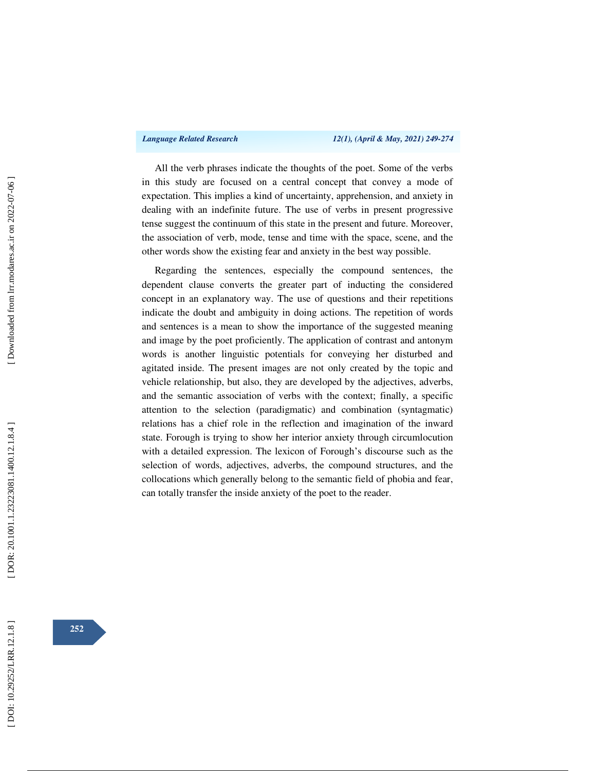All the verb phrases indicate the thoughts of the poet. Some of the verbs in this study are focused on a central concept that convey a mode of expectation. This implies a kind of uncertainty, apprehension, and anxiety in dealing with an indefinite future. The use of verbs in present progressive tense suggest the continuum of this state in the present and future. Moreover, the association of verb, mode, tense and time with the space, scene, and the other words show the existing fear and anxiety in the best way possible.

Regarding the sentences, especially the compound sentences, the dependent clause converts the greater part of inducting the considered concept in an explanatory way. The use of questions and their repetitions indicate the doubt and ambiguity in doing actions. The repetition of words and sentences is a mean to show the importance of the suggested meaning and image by the poet proficiently. The application of contrast and antonym words is another linguistic potentials for conveying her disturbed and agitated inside. The present images are not only created by the topic and vehicle relationship, but also, they are developed by the adjectives, adverbs, and the semantic association of verbs with the context; finally, a specific attention to the selection (paradigmatic) and combination (syntagmatic) relations has a chief role in the reflection and imagination of the inward state. Forough is trying to show her interior anxiety through circumlocution with a detailed expression. The lexicon of Forough 's discourse such as the selection of words, adjectives, adverbs, the compound structures, and the collocations which generally belong to the semantic field of phobia and fear, can totally transfer the inside anxiety of the poet to the reader.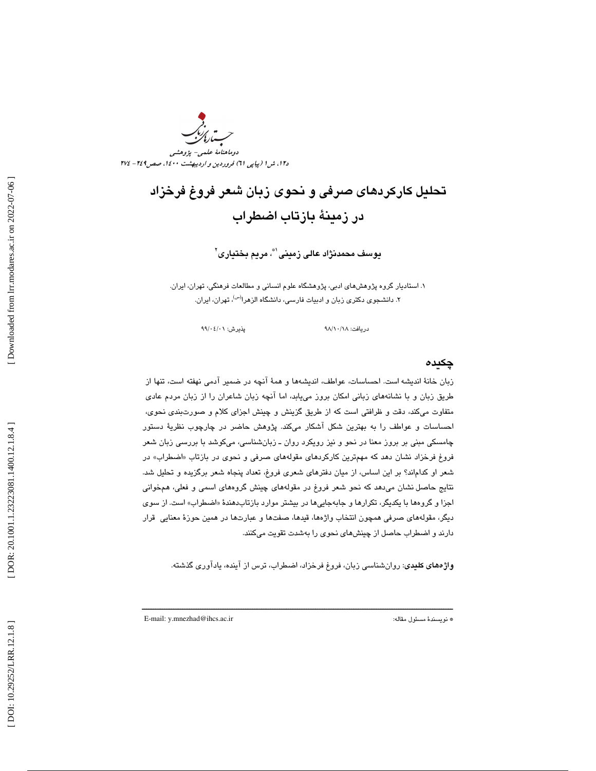دوماهنامة علمي- پژوهشي د،12 ش 1 (پياپي ) 61 فروردين و ارديبهشت ،1400 صص249 - 274

# تحليل كاركردهاي صرفي و نحوي زبان شعر فروغ فرخزاد در زمينة بازتاب اضطراب

يوسف محمدنژاد عالى زمينى'\*، مريم بختيارى'`

. 1 استاديار گروه پژوهشهاي ادبي، پژوهشگاه علوم انساني و مطالعات فرهنگي، تهران، ايران. ۲. دانشجوی دکتری زبان و ادبیات فارسی، دانشگاه الزهرا<sup>(س)</sup>، تهران، ایران.

دريافت: ٩٨/١٠/١٨ هـ. - - - - - - - - - - - - يذيرش: ٩٩/٠٤/٠٩

## چكيده

زبان خانهٔ اندیشه است. احساسات، عواطف، اندیشهها و همهٔ انچه در ضمیر ادمی نهفته است، تنها از طريق زبان و با نشانههای زبانی امکان بروز میLبد، اما انچه زبان شاعران را از زبان مردم عادی متفاوت ميكند، دقت و ظرافتي است كه از طريق گزينش و چينش اجزاي كلام و صورت $\mu$ دي نحوي، احساسات و عواطف را به بهترين شكل آشكار ميكند. پژوهش حاضر در چارچوب نظريۀ دستور چامسكي مبني بر بروز معنا در نحو و نيز رويكرد روان ـ زبانشناسي ، ميكوشد با بررسي زبان شعر فروغ فرخزاد نشان دهد كه مهم¤رين كاركردهاى مقولههاى صرفى و نحوى در بازتاب «اضطراب» در شعر او كداماند؟ بر اين اسـاس، از ميان دفترهاي شـعري فروغ، تعداد پنجاه شـعر برگزيده و تـحليل شـد. نتايج حاصل نشان ميدهد كه نحو شعر فروغ در مقولههاي چينش گروههاي اسمي و فعلي، همخواني اجزا و گروهها با يكديگر، تكرارها و جابهجاييها در بيشتر موارد بازتابدهندهٔ «اضطراب» است. از س*وی* ديگر، مقولههاي صرفي همچون انتخاب واژهها، قيدها، صفتها و عبارتها در همين حوزهٔ معنايي قرار دارند و اضطراب حاصل از چينشهاي نحوي را بهشدت تقويت ميكنند.

**واژههاي كليدي**: روانشناسي زبان، فروغ فرخزاد، اضطراب، ترس از آينده، يادآوري گذشته.

ــــــــــــــــــــــــــــــــــــــــــــــــــــــــــــــــــــــــــــــــــــــــــــــــــــــــــــــــــــــــــــــــــــــــــ

E-mail: y.mnezhad@ihcs.ac.ir :مقاله مسئول نويسندة\*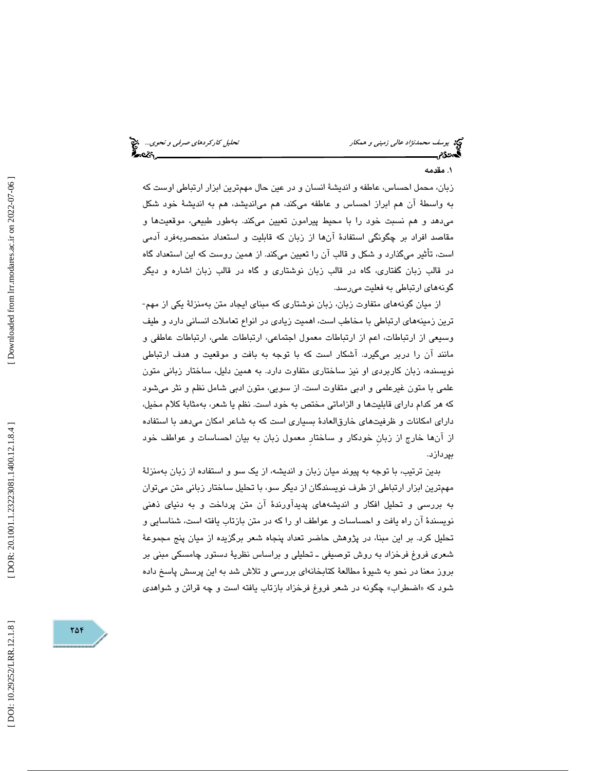# تحلیل کارکرد*های صرفی و نحوی...*<br>محلیل کارکرده*ای صرفی*

## 1. مقدمه

بان، محمل احساس، عاطفه و انديشة انسان و در عين حال مهمترين ابزار ارتباطي اوست كه ز به واسطة آن هم ابراز احساس و عاطفه ميكند، هم ميانديشد ، هم به انديشة خود شكل ميدهد و هم نسبت خود را با محيط پيرامون تعيين ميكند. بهطور طبيعي، موقعيتها و مقاصد افراد بر چگونگي استفادة آنها از زبان كه قابليت و استعداد منحصربهفرد آدمي است، تأثير ميگذارد و شكل و قالب آن را تعيين ميكند. از همين روست كه اين استعداد گاه در قالب زبان گفتاري، گاه در قالب زبان نوشتاري و گاه در قالب زبان اشاره و ديگر گونههاي ارتباطي به فعليت ميرسد.

از ميان گونههاي متفاوت زبان، زبان نوشتاري كه مبناي ايجاد متن بهمنزلة يكي از مهم- ترين زمينههاي ارتباطي با مخاطب است، اهميت زيادي در انواع تعاملات انساني دارد و طيف وسيعي از ارتباطات، اعم از ارتباطات معمول اجتماعي، ارتباطات علمي، ارتباطات عاطفي و مانند آن را دربر ميگيرد. آشكار است كه با توجه به بافت و موقعيت و هدف ارتباطي نويسنده، زبان كاربردي او نيز ساختاري متفاوت دارد. به همين دليل، ساختار زباني متون علمي با متون غيرعلمي و ادبي متفاوت است. از سويي، متون ادبي شامل نظم و نثر ميشود كه هر كدام داراي قابليتها و الزاماتي مختص به خود است. نظم يا شعر، بهمثابة كلام مخيل، داراي امكانات و ظرفيتهاي خارقالعادة بسياري است كه به شاعر امكان ميدهد با استفاده از آنها خارج از زبانِ خودكار و ساختارِ معمول زبان به بيان احساسات و عواطف خود بپردازد.

بدين ترتيب، با توجه به پيوند ميان زبان و انديشه، از يك سو و استفاده از زبان بهمنزلة مهمترين ابزار ارتباطي از طرف نويسندگان از ديگر سو، با تحليل ساختار زباني متن ميتوان به بررسي و تحليل افكار و انديشههاي پديدآورندة آن متن پرداخت و به دنياي ذهني نويسندة آن راه يافت و احساسات و عواطف او را كه در متن بازتاب يافته است، شناسايي و تحليل كرد. بر اين مبنا، در پژوهش حاضر تعداد پنجاه شعر برگزيده از ميان پنج مجموعهٔ شعری فروغ فرخزاد به روش توصیفی ـ تحلیلی و براساس نظریهٔ دستور چامسکی مبنی بر بروز معنا در نحو به شيوة مطالعة كتابخانهاي بررسي و تلاش شد به اين پرسش پاسخ داده شود كه «اضطراب» چگونه در شعر فروغ فرخزاد بازتاب يافته است و چه قرائن و شواهد*ى*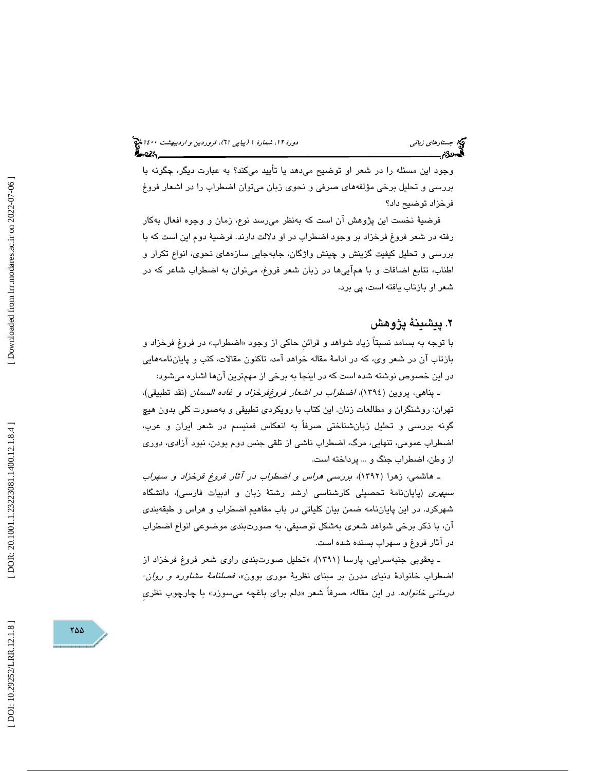وجود اين مسئله را در شعر او توضيح ميدهد يا تأييد ميكند؟ به عبارت ديگر، چگونه با بررسي و تحليل برخي مؤلفههاي صرفي و نحوي زبان ميتوان اضطراب را در اشعار فروغ فرخزاد توضيح داد؟

فرضية نخست اين پژوهش آن است كه بهنظر ميرسد نوع، زمان و وجوه افعال بهكار رفته در شعر فروغ فرخزاد بر وجود اضطراب در او دلالت دارند. فرضية دوم اين است كه با بررسي و تحليل كيفيت گزينش و چينش واژگان، جابهجايي سازههاي نحوي، انواع تكرار و اطناب، تتابع اضافات و با همآييها در زبان شعر فروغ، ميتوان به اضطراب شاعر كه در شعر او بازتاب يافته است، پي برد.

## . 2 پيشينة پژوهش

با توجه به بسامد نسبتاً زياد شواهد و قرائن حاكي از وجود «اضطراب» در فروغ فرخزاد و بازتاب آن در شعر وي ، كه در ادامة مقاله خواهد آمد، تاكنون مقالات، كتب و پاياننامههايي در اين خصوص نوشته شده است كه در اينجا به برخي از م همترين آنها اشاره ميشود:

ـ پناهي، پروين (1394)، اضطراب در اشعار فروغفرخزاد و غاده السمان (نقد تطبيقي)، تهران: روشنگران و مطالعات زنان. اين كتاب با رويكردي تطبيقي و بهصورت كلي بدون هيچ گونه بررسي و تحليل زبانشناختي صرفاً به انعكاس فمنيسم در شعر ايران و عرب، اضطراب عمومي، تنهايي، مرگ، اضطراب ناشي از تلقي جنس دوم بودن، نبود آزادي، دوري از وطن، اضطراب جنگ و ... پرداخته است.

ـ هاشمي، زهرا (1392)، بررسي هراس و اضطراب در آثار فروغ فرخزاد و سهراب *سپهری* (پایاننامهٔ تحصیلی کارشناسی ارشد رشتهٔ زبان و ادبیات فارسی)، دانشگاه شهركرد. در اين پاياننامه ضمن بيان كلياتي در باب مفاهيم اضطراب و هراس و طبقهبندي آن، با ذكر برخي شواهد شعري بهشكل توصيفي، به صورتبندي موضوعي انواع اضطراب در آثار فروغ و سهراب بسنده شده است.

ـ يعقوبي جنبهسرايي، پارسا (۱۳۹۱)، «تحليل صورت بندی راوی شعر فروغ فرخزاد از<br>اضطراب خانوادهٔ دنيای مدرن بر مبنای نظريهٔ موری بوون»، *فصلنامهٔ مشاوره و روان-*ىر*مانى خانواده*. در اين مقاله، صرفاً شعر «دلم براى باغچه مىسوزد» با چارچوب نظرى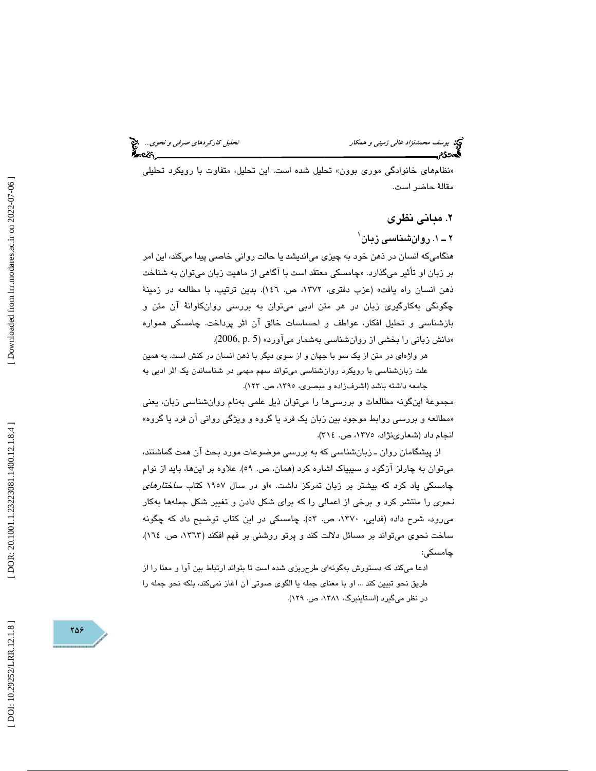و همكار تحليل كاركردهاي صرفي و نحوي...

«نظامهای خانوادگی موری بوون» تحلیل شده است. این تحلیل، متفاوت با رویکرد تحلیلی مقالة حاضر است.

## 2. مباني نظري

۲ ــ ۱. روانش**ن**اسی زبان<sup>'</sup>

هنگاميكه انسان در ذهن خود به چيزي ميانديشد يا حالت رواني خاصي پيدا ميكند، اين امر بر زبان او تأثير ميگذارد. «چامسكي معتقد است با اگاهي از ماهيت زبان ميتوان به شناخت ذهن انسان راه يافت » (عزب دفتري، ،1372 ص. 146 ). بدين ترتيب ، با مطالعه در زمينة چگونگي بهكارگيري زبان در هر متن ادبي ميتوان به بررسي روانكاوانة آن متن و بازشناسي و تحليل افكار، عواطف و احساسات خالق آن اثر پرداخت. چامسكي همواره «دانش زبانی را بخشی از روانشناسی بهشمار میآورد» (2006, p. 5).

هر واژهاي در متن از يك سو با جهان و از سوي ديگر با ذهن انسان در كنش است. به همين علت زبانشناسي با رويكرد روانشناسي ميتواند سهم مهمي در شناساندن يك اثر ادبي به جامعه داشته باشد (اشرفزاده و مبصري، ،1395 ص. 123 ).

مجموعة اينگونه مطالعات و بررسيها را ميتوان ذيل علمي بهنام روانشناسي زبان ، يعني «مطالعه و بررسی روابط موجود بین زبان یک فرد یا گروه و ویژگی روانی ان فرد یا گروه» انجام داد ( شعارينژاد، ،1375 ص. 314 ).

از پيشگامان روان ـ زبانشناسي كه به بررسي موضوعات مورد بحث آن همت گماشتند، ميتوان به چارلز آزگود و سيبياك اشاره كرد (همان، ص. ٥٩). علاوه بر اينها، بايد از نوام چامسكي ياد كرد كه بيشتر بر زبان تمركز داشت. «او در سال ۱۹۰۷ كتاب *ساختارهای* نحوي را منتشر كرد و برخي از اعمالي را كه براي شكل دادن و تغيير شكل جملهها بهكار مي رود، شرح داد» (فدايي، ١٣٧٠، ص. ٥٣). چامسكي در اين كتاب توضيح داد كه چگونه ساخت نحوي ميتواند بر مسائل دلالت كند و پرتو روشني بر فهم افكند (١٣٦٣، ص. ١٦٤). چامسكي:

ادعا ميكند كه دستورش بهگونهاي طرحريزي شده است تا بتواند ارتباط بين آوا و معنا را از طريق نحو تبيين كند ... او با معناي جمله يا الگوي صوتي آن آغاز نميكند، بلكه نحو جمله را در نظر ميگيرد ( استاينبرگ، ،1381 ص. 129 ).

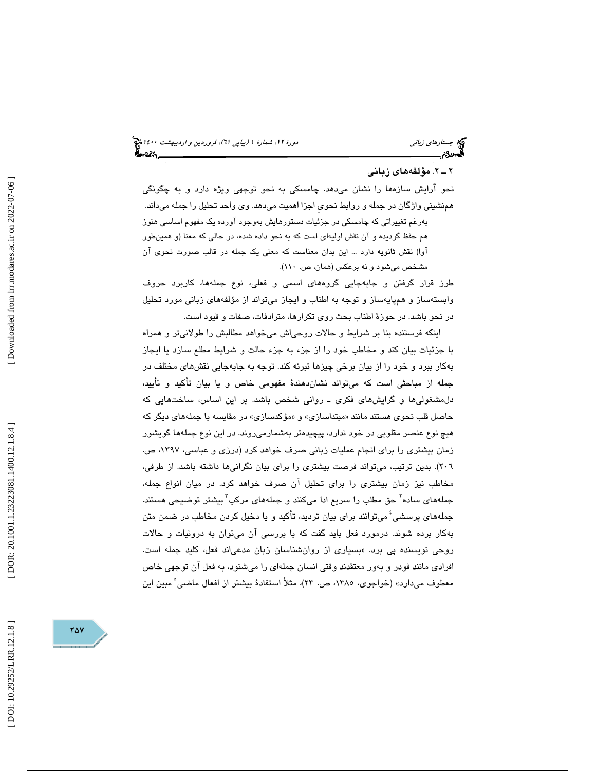## . 2ـ 2 مؤلفههاي زباني

نحو آرايش سازهها را نشان ميدهد. چامسكي به نحو توجهي ويژه دارد و به چگونگي همنشيني واژگان در جمله و روابط نحويِ اجزا اهميت م يدهد. وي واحد تحليل را جمله ميداند . بهرغم تغييراتي كه چامسكي در جزئيات دستورهايش بهوجود آورده يك مفهوم اساسي هنوز

هم حفظ گرديده و آن نقش اوليهاي است كه به نحو داده شده ، در حالي كه معنا (و همينطور آوا) نقش ثانويه دارد ... اين بدان معناست كه معني يك جمله در قالب صورت نحوي آن مشخص ميشود و نه برعكس ( همان، ص. 110 ).

طرز قرار گرفتن و جابهجايي گروههاي اسمي و فعلي، نوع جملهها، كاربرد حروف وابستهساز و هم پايهساز و توجه به اطناب و ايجاز ميتواند از مؤلفههاي زباني مورد تحليل در نحو باشد. در حوزة اطناب بحث روي تكرارها، مترادفات، صفات و قيود است.

اينكه فرستنده بنا بر شرايط و حالات روحياش ميخواهد مطالبش را طولانيتر و همراه با جزئيات بيان كند و مخاطب خود را از جزء به جزء حالت و شرايط مطلع سازد يا ايجاز بهكار ببرد و خود را از بيان برخي چيزها تبرئه كند. توجه به جابهجايي نقشهاي مختلف در جمله از مباحثي است كه ميتواند نشاندهندة مفهومي خاص و يا بيان تأكيد و تأييد، دلمشغوليها و گرايشهاي فكري ـ رواني شخص باشد. بر اين اساس، ساختهايي كه حاصل قلب نحوی هستند مانند «مبتداسازی» و «مؤکدسازی» در مقایسه با جملههای دیگر که هيچ نوع عنصر مقلوبي در خود ندارد ، پيچيدهتر بهشمارميروند. در اين نوع جملهها گويشور زمان بيشتري را براي انجام عمليات زباني صرف خواهد كرد (درزي و عباسي، ،1397 ص. ٢٠٦). بدين ترتيب، ميتواند فرصت بيشتري را براي بيان نگرانيها داشته باشد. از طرفي، مخاطب نيز زمان بيشتري را براي تحليل آن صرف خواهد كرد. در ميان انواع جمله، جملههای ساده<sup>۲</sup> حق مطلب را سریع ادا میکنند و جملههای مرکب<sup>۳</sup> بیشتر توضیحی هستند. جملههای پرسشی ٔ میتوانند برای بیان تردید، تأکید و یا دخیل کردن مخاطب در ضمن متن بهكار برده شوند. درمورد فعل بايد گفت كه با بررسي آن ميتوان به درونيات و حالات روحی نویسنده پی برد. «بسیاری از روانشناسان زبان مدعیاند فعل، كليد جمله است. افرادي مانند فودر و بهور معتقدند وقتي انسان جملهاي را ميشنود، به فعل آن توجهي خاص معطوف مىدارد» (خواجوى، ١٣٨٥، ص. ٢٣)، مثلاً استفادة بيشتر از افعال ماضى ْ مبين اين

Downloaded from lrr.modares.ac.ir on 2022-07-06

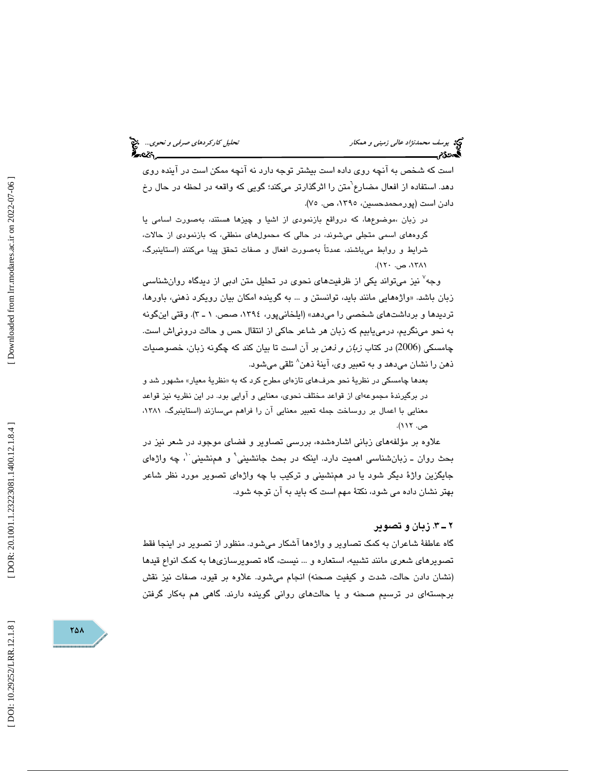است كه شخص به آنچه روي داده است بيشتر توجه دارد نه آنچه ممكن است در آينده روي دهد. استفاده از افعال مضارع<sup>י</sup>متن را اثرگذارتر میکند؛ گویی که واقعه در لحظه در حال رخ دادن است (پورمحمدحسين، ١٣٩٥، ص. ٧٥).

در زبان ،موضوعِها، كه درواقع بازنمودی از اشيا و چيزها هستند، بهصورت اسامی يا گروههاي اسمي متجلي ميشوند، در حالي كه محمولهاي منطقي، كه بازنمودي از حالات، شرايط و روابط ميباشند ، عمدتاً بهصورت افعال و صفات تحقق پيدا ميكنند ( استاينبرگ، ،  $154$ ، ص.  $171$ .

وجه<sup>۷</sup> نيز ميتواند يكي از ظرفيتهاى نحوى در تحليل متن ادبي از ديدگاه روانشناس*ي* زبان باشد. «واژههایی مانند باید، توانستن و … به گوینده امکان بیان رویکرد ذهنی، باورها، ترديدها و برداشتهاي شخصي را ميدهد» (ايلخانيپور، ،1394 صص. 3ـ 1 ). وقتي اينگونه به نحو مينگريم، درمييابيم كه زبان هر شاعر حاكي از انتقال حس و حالت درونياش است. چامسكى (2006) در كتاب *زبان و ذهن* بر آن است تا بيان كند كه چگونه زبان، خصوصيات ذهن را نشان میدهد و به تعبیر وی، آینهٔ ذهن $\langle$  تلقی میشود.

بعدها چامسكي در نظريهٔ نحو حرفهاي تازهاي مطرح كرد كه به «نظريهٔ معيار» مشهور شد و در برگيرند ة مجموعهاي از قواعد مختلف نحوي، معنايي و آوايي بود. در اين نظريه نيز قواعد معنايي با اعمال بر روساخت جمله تعبير معنايي آن را فراهم ميسازند ( استاينبرگ، ،1381 ص. 112 ).

علاوه بر مؤلفههاي زباني اشارهشده، بررسي تصاوير و فضاي موجود در شعر نيز در بحث روان ــ زبانشناسي اهميت دارد. اينكه در بحث جانشيني٬ و همنشيني ٬٬ چه واژهای جايگزين واژة ديگر شود يا در همنشيني و تركيب با چه واژهاي تصوير مورد نظر شاعر بهتر نشان داده مي شود، نكتة مهم است كه بايد به آن توجه شود .

## 3.ـ 2 زبان و تصوير

گاه عاطفة شاعران به كمك تصاوير و واژهها آشكار ميشود. منظور از تصوير در اينجا فقط تصويرهاي شعري مانند تشبيه، استعاره و ... نيست، گاه تصويرسازيها به كمك انواع قيدها (نشان دادن حالت، شدت و كيفيت صحنه) انجام ميشود. علاوه بر قيود، صفات نيز نقش برجستهاي در ترسيم صحنه و يا حالتهاي رواني گوينده دارند. گاهي هم بهكار گرفتن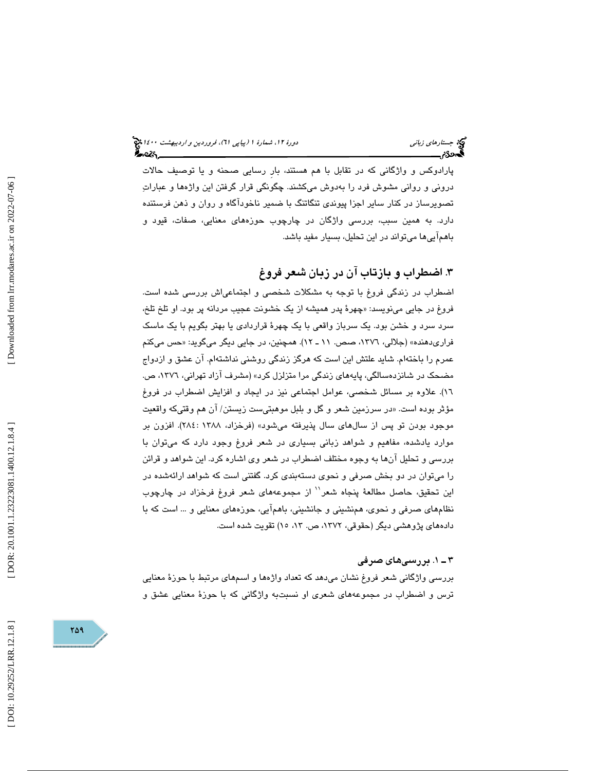## (پياپي 61)، فروردين و ارديبهشت 1400 جستارهاي زباني دورة ،12 شمارة 1

پارادوكس و واژگاني كه در تقابل با هم هستند، بارِ رسايي صحنه و يا توصيف حالات دروني و رواني مشوش فرد را بهدوش ميكشند. چگونگي قرار گرفتن اين واژهها و عبارات تصويرساز در كنار ساير اجزا پيوندي تنگاتنگ با ضمير ناخودآگاه و روان و ذهن فرستنده دارد. به همين سبب، بررسي واژگان در چارچوب حوزههاي معنايي، صفات، قيود و باهم آييها ميتواند در اين تحليل، بسيار مفيد باشد.

## . 3 اضطراب و بازتاب آن در زبان شعر فروغ

اضطراب در زندگي فروغ با توجه به مشكلات شخصي و اجتماعياش بررسي شده است. فروغ در جايي مينويسد: «چهرهٔ پدر هميشه از يک خشونت عجيب مردانه پر بود. او تلخ تلخ، سرد سرد و خشن بود. يك سرباز واقعي با يك چهرة قراردادي يا بهتر بگويم با يك ماسك فراریدهنده» (جلالی، ۱۳۷٦، صص. ۱۱ ـ ۱۲). همچنین، در جایی دیگر میگوید: «حس میکنم عمرم را باختهام. شايد علتش اين است كه هرگز زندگي روشني نداشتهام. آن عشق و ازدواج مضحک در شانزدهسالگي، پايههاي زندگي مرا متزلزل کرد» (مشرف آزاد تهراني، ١٣٧٦، ص. 16). علاوه بر مسائل شخصي، عوامل اجتماعي نيز در ايجاد و افزايش اضطراب در فروغ مؤثر بوده است. «در سرزمين شعر و گل و بلبل موهبتيست زيستن/ آن هم وقتيكه واقعيت موجود بودن تو پس از سالهای سال پذیرفته میشود» (فرخزاد، ۱۳۸۸ : ۲۸٤). افزون بر موارد يادشده، مفاهيم و شواهد زباني بسياري در شعر فروغ وجود دارد كه مي¤وان با بررسي و تحليل آنها به وجوه مختلف اضطراب در شعر وي اشاره كرد. اين شواهد و قرائن را ميتوان در دو بخش صرفي و نحوي دستهبندي كرد. گفتني است كه شواهد ارائهشده در اين تحقيق، حاصل مطالعهٔ پنجاه شعر<sup>\\</sup> از مجموعههای شعر فروغ فرخزاد در چارچوب نظامهاي صرفي و نحوي، همنشيني و جانشيني، با همآيي، حوزههاي معنايي و ... است كه با دادههاي پژوهشي ديگر (حقوقي، ،1372 ص. ، 13 15) تقويت شده است.

## . 1ـ 3 بررسيهاي صرفي

بررسي واژگاني شعر فروغ نشان ميدهد كه تعداد واژهها و اسمهاي مرتبط با حوزة معنايي ترس و اضطراب در مجموعههاي شعري او نسبتبه واژگاني كه با حوزة معنايي عشق و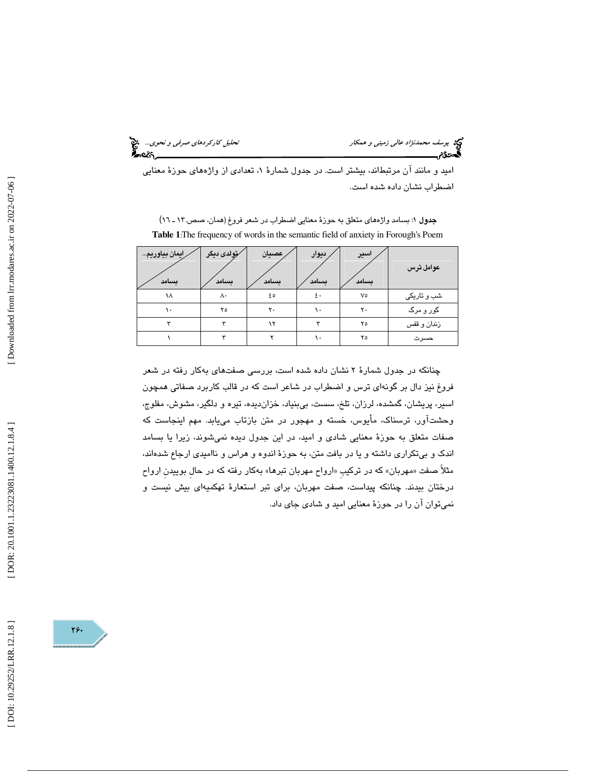قحليل *كار كردهاي صرفي و نحوي...*<br>من التحليل كاركرده*اي صرفي*<br>التحليل

يد بوسف محم*دنژاد عالي زميني و همکار*<br>**گھودگام** 

اميد و مانند آن مرتبطاند، بيشتر است. در جدول شمارهٔ ۱، تعدادي از واژههاي حوزهٔ معنايي اضطراب نشان داده شده است.

| رايمان بياوريم<br>ىسامد | ⁄تِولدی دیگر<br>ىسامد | ِ عصيان<br>ىسامد | ديوار<br>ىسامد | اسير<br>ىسامد | عوامل ترس   |
|-------------------------|-----------------------|------------------|----------------|---------------|-------------|
| ۱۸                      | ۸۰                    | ه ٤              | ٤٠             | ٧٥            | شب و تاریکی |
|                         | ۲٥                    | ۲.               |                | ٢٠            | گور و مرگ   |
|                         |                       | ١Y               |                | ۲٥            | زندان و قفس |
|                         |                       |                  |                | ۲٥            | حسرت        |

جدول ١: بسامد واژههاي متعلق به حوزهٔ معنايي اضطراب در شعر فروغ (همان، صص.١٢ ـ ١٦) **Table 1** :The frequency of words in the semantic field of anxiety in Forough's Poem

چنانكه در جدول شمارة 2 نشان داده شده است، بررسي صفتهاي بهكار رفته در شعر فروغ نيز دال بر گونهاي ترس و اضطراب در شاعر است كه در قالب كاربرد صفاتي همچون اسير، پريشان، گمشده، لرزان، تلخ، سست، بيµنياد، خزانديده، تيره و دلگير، مشوش، مفلوج، وحش تآور، ترسناك، مأيوس، خسته و مهجور در متن بازتاب مييابد. مهم اينجاست كه صفات متعلق به حوزة معنايي شادي و اميد، در اين جدول ديده نميشوند، زيرا يا بسامد اندك و بيتكراري داشته و يا در بافت متن، به حوزة اندوه و هراس و نااميدي ارجاع شدهاند، مثلاً صفت «مهربان» كه در تركيبِ «ارواح مهربان تبرها» بهكار رفته كه در حال بوييدن ارواح درختان بيدند. چنانكه پيداست، صفت مهربان، براي تبر استعارة تهكميهاي بيش نيست و نميتوان آن را در حوزة معنايي اميد و شادي جاي داد.



[Downloaded from lrr.modares.ac.ir on 2022-07-06]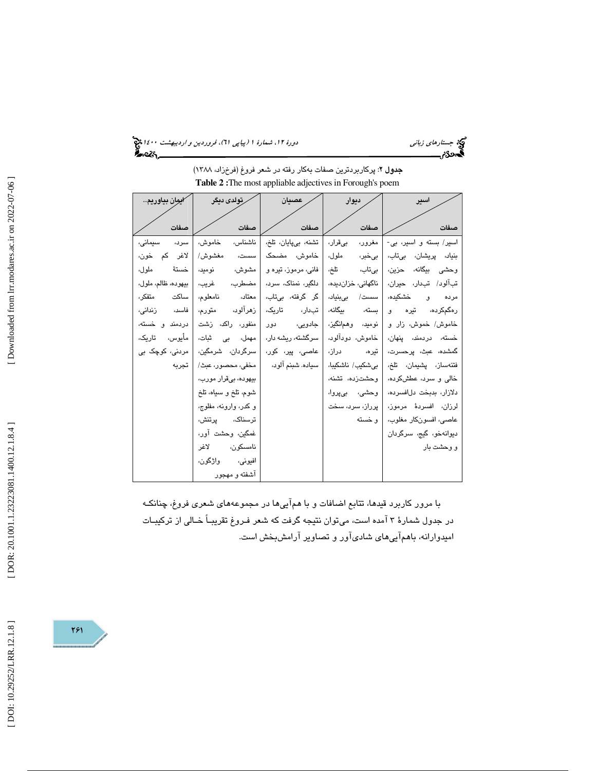(پياپي 61)، فروردين و ارديبهشت 1400 جستارهاي زباني دورة ،12 شمارة 1

جدول 2: پركاربردترين صفات بهكار رفته در شعر فروغ (فرخزاد، 1388) **Table 2 :**The most appliable adjectives in Forough's poem

| ايوان بياوريم       | رتولدى ديگر           | عصيان               | ديوار              | اسير                            |
|---------------------|-----------------------|---------------------|--------------------|---------------------------------|
| صفات                | صفات                  | صفات                | صفات               | صفات                            |
| سرد،<br>سىمانى،     | ناشناس ،<br>خامو ش،   | تشنه، بیپایان، تلخ، | مے قرار ،          | اسير/ بسته و اسير، بي-   مغرور، |
| لاغر کم خون،        | مغشوش/<br>سست،        | خاموش، مضحک         | ملول،<br>ا بے خبر، | بنياد، پريشان، بىتاب،           |
| خستة<br>ملو ل،      | مشوش،<br>نومید،       | فانی، مرموز، تیره و | تلخ،<br>بىتاب،     | وحشى بيگانه، حزين،              |
| بيهوده، ظالم، ملول، | مضطرب،<br>غريب،       | دلگر، نمناک، سرد،   | ناگهانی، خزاندیده، | تبآلود/ تبدار، حيران،           |
| ساكت<br>متفكر ،     | معتاد،<br>نامعلوم،    | گر گرفته، بیتاب،    | بے بنیاد،<br>سست/  | و خشکده،<br>مرده                |
| فاسد،<br>زندانی،    | زهرآلود،<br>متورم،    | تارىك،<br>تبدار،    | ىىگانە،<br>بسته،   | رەگمكردە، تىرە<br>و             |
| دردمند و خسته،      | منفور، راکد، زشت      | جادویی،<br>دور      | نومید، وهمانگیز،   | خاموش/ خموش، زار و              |
| مأيوس،<br>تارىك،    | مهمل، بي ثبات،        | سرگشته، ریشه دار،   | خاموش، دودآلود،    | خسته، دردمن <i>د</i> ، پنهان،   |
| مردنی، کوچک ہے      | سرگردان، شرمگین،      | عاصی، پیر، کور،     | در از،<br>تیرہ،    | گمشده، عبث، پرحسرت،             |
| تحرىه               | مخفي، محصور، عبث/     | سياده. شبنم آلود،   | بىشكيب/ ناشكيبا،   | فتنەساز، پشيمان، تلخ،           |
|                     | بيھوده، بیقرار مورب،  |                     | وحشتزده، تشنه،     | خالی و سرد، عطشکرده،            |
|                     | شوم، تلخ و سیاه، تلخ  |                     | وحشي، بيروا،       | دلازار، بدبخت دلافسرده،         |
|                     | و کدر، وارونه، مفلوج، |                     | یرراز، سرد، سخت    | لرزان، افسردهٔ مرموز،           |
|                     | ترسناک، پرتنش،        |                     | و خسته             | عاصي، افسونكار مغلوب،           |
|                     | غمگین، وحشت آور،      |                     |                    | ديوانەخو، گيج، سرگردان          |
|                     | نامسكون، لاغر         |                     |                    | و وحشت بار                      |
|                     | افيوني، واژگون،       |                     |                    |                                 |
|                     | آشفته و مهجور         |                     |                    |                                 |

با مرور كاربرد قيدها، تتابع اضافات و با هم آييها در مجموعههاي شعري فروغ، چنانكـه در جدول شمارة 3 آمده است، ميتوان نتيجه گرفت كه شعر فـروغ تقريبـاً خـالي از تركيبـات اميدوارانه، باهم آييهاي شاديآور و تصاوير آرامشبخش است.

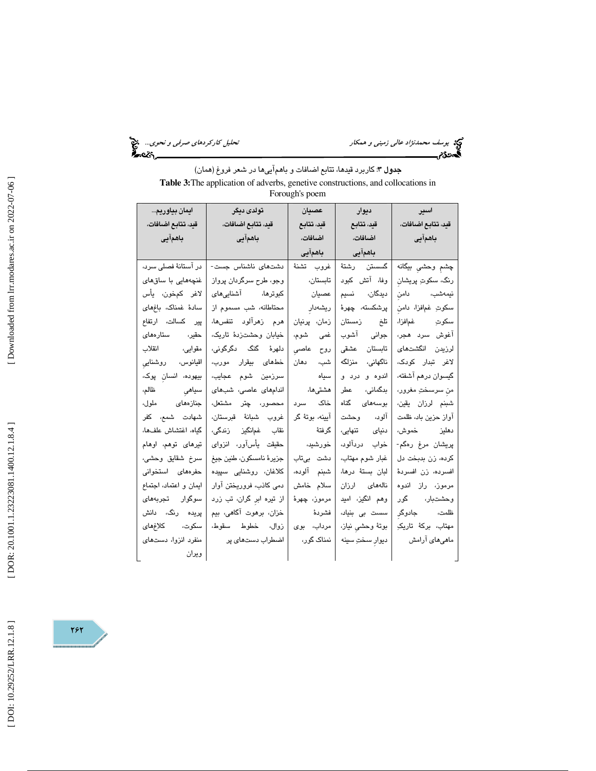و همكار تحليل كاركردهاي صرفي و نحوي...

يوسف محم*دنژاد عالي زميني و همکار*<br>پ**یردگان<sub>گس</sub>يست** 

| <b>جدول ٣:</b> كاربرد قيدها، تتابع اضـافات و بـاهـمآيي۵ا در شـعر فروغ (همان)            |
|-----------------------------------------------------------------------------------------|
| <b>Table 3:</b> The application of adverbs, genetive constructions, and collocations in |
| Forough's poem                                                                          |

| ايمان بياوريم          | تولدى ديگر               | عصيان           | ديوار                  | اسير -              |
|------------------------|--------------------------|-----------------|------------------------|---------------------|
| قيد، تتابع اضافات،     | قيد، تتابع اضافات،       | قيد، تتابع      | قيد، تتابع             | قيد، تتابع اضافات،  |
| باهمآيى                | باهمآيى                  | اضافات،         | اضافات،                | ا باهمآیی           |
|                        |                          | باهمآيى         | باهمآيى                |                     |
| در آستانهٔ فصلی سرد،   | دشتهای ناشناس جست-       | غروب تشنة       | گسستن رشتهٔ            | چشم وحشى بيگانه     |
| غنچەھايى با ساقھاى     | وجو، طرح سرگردان پرواز   | تابستان،        | وفا، آتش کبود          | رنگ، سکوتِ پریشان   |
| لاغر كمخون، يأس        | کبوترها، آشناییهای       | عصيان           | ديدگان، نسيم           | نيمەشب، دامن        |
| سادهٔ غمناک، باغهای    | محتاطانه، شب مسموم از    | ریشەدار         | پرشكسته، چهرهٔ         | سكوتِ غمافزا، دامن  |
| پیر کسالت، ارتفاع      | هرم زهرآلود تنفسها،      | زمان، پرنیان    | تلغ زمستان             | سكوتِ غمافزا،       |
| حقیر، ستارەھا <i>ی</i> | خيابان وحشتزدهٔ تاريک،   | غمي شوم،        | جوانى آشوب             | آغوش سرد هجر،       |
| مقوايى، انقلاب         | دلهرهٔ گنگ دگرگونی،      | روح عاصى        | تابستان عشقى           | لرزيدن انگشتهای     |
| اقیانوس، روشنایی       | خطهای بیقرار مورب،       | شب، دھان        | ناگهانی، منزلگه        | لاغر تبدار کودک،    |
| بیهوده، انسان پوک،     | سرزمین شوم عجایب،        | سياه            | اندوه و درد و          | گیسوان درهم آشفته،  |
| سياهي ظالم،            | اندامهای عاصی، شبهای     |                 | بدگمانی، عطر   هشتیها، | من سرسـختِ مغرور،   |
| جنازەھا <i>ى</i> ملول، | محصور، چتر مشتعل،        | خاک سرد         | بوسەھا <i>ى</i> گناە   | شبنم لرزان يقين،    |
| شهادت شمع، كفر         | غروب شبانة قبرستان،      | آیینه، بوتهٔ گر | آلود، وحشت             | آواز حزين باد، ظلمت |
| گیاه، اغتشاش علفها،    | نقاب غمانگیز زندگی،      | گرفتهٔ          | دنیای تنهایی،          | دهليز خموش،         |
| تیرهای توهم، اوهام     | حقیقت یأسآور، انزوای     | خورشيد،         | خواب دردآلود،          | پریشان مرغ رەگم-    |
| سرخ شقايق وحشى،        | جزيرة نامسكون، طنين جيغ  | دشت بىتاب       | غبار شوم مهتاب،        | كرده، زن بدبخت دل   |
| حفرههای استخوانی       | كلاغان، روشنايى سېيدە    | شبنم آلوده،     | لبان بستة درها،        | افسرده، زن افسردهٔ  |
| ایمان و اعتماد، اجتماع | دمی کانب، فروریختن آوار  | سلام خامش       | نالەھای ارزان          | مرموز، راز اندوه    |
| سوگوار تجربههای        | از تیره ابر گران، تب زرد | مرموز، چھرۂ     | وهم انگیز، امید        | وحشتبار، گور        |
| پریده رنگ، دانش        | خزان، برهوت آگاهی، بیم   | فشردة           | سست بی بنیاد،          | ظلمت، جادوگر        |
| سكوت، كلاغهاى          | زوال، خطوط سقوط،         | مرداب، بوی      | بوتهٔ وحشی نیاز،       | مهتاب، بركةٔ تاريكِ |
| منفرد انزوا، دستهای    | اضطراب دستهای پر         | نمناک گور،      | دیوار سختِ سینه        | ماهیهای آرامش       |
| ويران ____             |                          |                 |                        |                     |

 $757$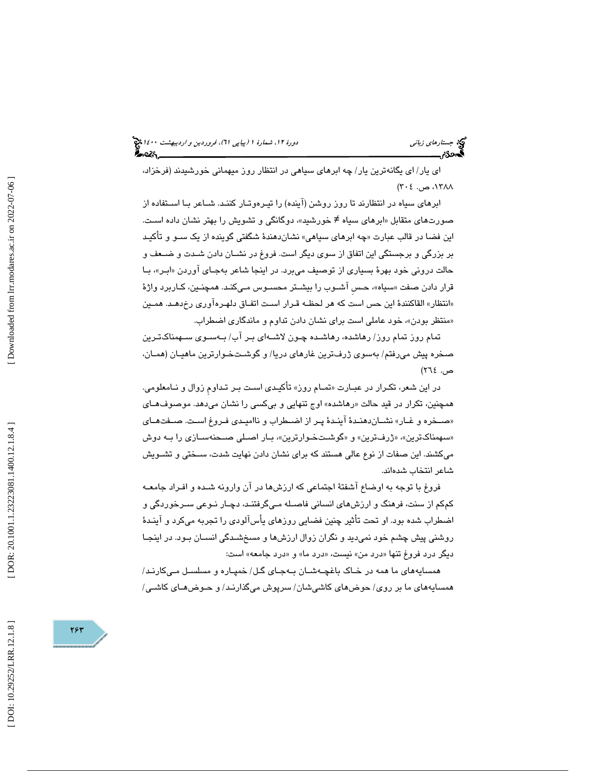(پياپي 61)، فروردين و ارديبهشت 1400 جستارهاي زباني دورة ،12 شمارة 1

اي يار/ اي يگانهترين يار/ چه ابرهاي سياهي در انتظار روز ميهماني خورشيدند ( فرخزاد، ۱۳۸۸، ص. ۲۰٤)

ابرهای سیاه در انتظارند تا روز روشن (اینده) را تیـرهوتـار کننـد. شــاعر بــا اســتفاده از صورتهای متقابل «ابرهای سیاه ≠ خورشید»، دوگانگی و تشویش را بهتر نشان داده اسـت. اين فضـا در قالب عبارت «چه ابرها*ی* سياهی» نشاندهندهٔ شگفتی گوينده از يک ســو و تاكيـد بر بزرگي و برجستگي اين اتفاق از سوي ديگر است. فروغ در نشـان دادن شـدت و ضـعف و حالت دروني خود بهرهٔ بسياري از توصيف ميبرد. در اينجا شاعر بهجـاي اوردن «ابـر»، بــا قرار دادن صفت «سياه»، حـس اشــوب را بيشــتر محســوس مــيكنـد. همچنـين، كــاربرد واژهٔ «انتظار» القاكنندهٔ این حس است كه هر لحظـه قـرار اسـت اتفـاق دلهـره۱وری رخدهـد. همـین «منتظر بودن»، خود عاملی است برای نشان دادن تداوم و ماندگاری اضطراب.

تمام روز تمام روز/ رهاشده، رهاشـده چـون لاشـه اي بـر آب/ بـه سـوي سـهمناك تـرين صخره پيش ميرفتم/ بهسوي ژرفترين غارهاي دريا/ و گوشـت خـوارترين ماهيـان ( همـان ، ص. ٢٦٤)

در اين شعر، تكـرار در عبــارت «تمــام روز» تأكيـدي اسـت بــر تــداوم زوال و نــامعلومي. همچنين، تكرار در قيد حالت «رهاشده» اوج تنهايي و بيكسي را نشان ميدهد. موصوفهـا*ي* «صـخره و غــار» نشــاندهنـدهٔ اينـدهٔ پـر از اضــطراب و نااميـدى فـروغ اسـت. صــفتهــاى «سهمناكترين»، «ژرفترين» و «گوشـتخـوارترين»، بـار اصـلي صـحنهسـازي را بـه دوش ميكشند. اين صفات از نوع عالي هستند كه براي نشان دادن نهايت شدت، سـختي و تشـويش شاعر انتخاب شدهاند.

فروغ با توجه به اوضاع آشفتة اجتماعي كه ارزشها در آن وارونه شـده و افـراد جامعـه كمكم از سنت، فرهنگ و ارزشهاي انساني فاصـله مـي گرفتنـد، دچـار نـوعي سـرخوردگي و اضطراب شده بود. او تحت تأثير چنين فضايي روزهاي يأسآلودي را تجربه ميكرد و آينـدة روشني پيش چشم خود نميديد و نگران زوال ارزشها و مسخشـدگي انسـان بـود. در اينجـا دیگر درد فروغ تنها «درد من» نیست، «درد ما» و «درد جامعه» است:

همسايههاي ما همه در خـاك باغچـه شـان بـه جـاي گـل/ خمپـاره و مسلسـل مـي كارنـد/ همسايههاي ما بر روي/ حوضهاي كاشيشان/ سرپوش ميگذارنـد/ و حـوض هـاي كاشـي/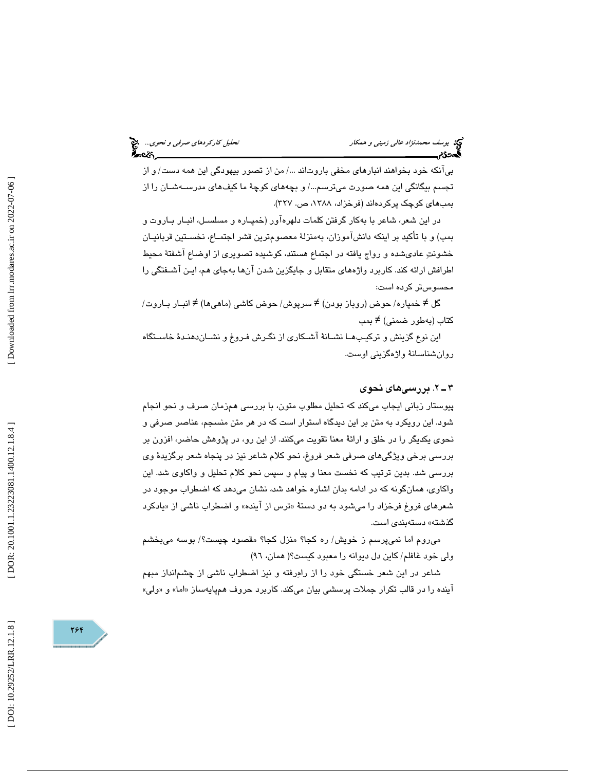بيآنكه خود بخواهند انبارهاي مخفي باروت ندا /... من از تصور بيهودگي اين همه دست/ و از تجسم بيگانگي اين همه صورت ميترسم.../ و بچههاي كوچهٔ ما كيفهاي مدرســهشــان را از بمبهاي كوچك پركردهاند (فرخزاد، ،1388 ص. 327 .)

در اين شعر، شاعر با به كار گرفتن كلمات دلهرهآور (خمپـاره و مسلسـل، ا نبـار بـاروت و بمب) و با تأكيد بر اينكه دانشآموزان، بهمنزلة معصومترين قشر اجتمـاع، نخسـتين قربانيـان خشونت عاديشده و رواج يافته در اجتماع هستند، كوشيده تصويري از اوضاع آشفتة محيط اطرافش ارائه كند. كاربرد واژههاي متقابل و جايگزين شدن آنها بهجاي هم، ايـن آ شـفتگي را محسوستر كرده است:

گل ≠ خمپاره/ حوض (روباز بودن) ≠ سرپوش/ حوض کاشی (ماهیها) ≠ انبـار بـاروت/ كتاب (بهطور ضمنی) ≠ بمب

اين نوع گزينش و تركيـب هـا نشـانة آشـكاري از نگـرش فـروغ و نشـان دهنـدة خاسـتگاه روانشناسانة واژهگزيني اوست.

## . 2ـ 3 بررسيهاي نحوي

پيوستار زباني ايجاب ميكند كه تحليل مطلوب متون، با بررسي همزمان صرف و نحو انجام شود. اين رويكرد به متن بر اين ديدگاه استوار است كه در هر متن منسجم، عناصر صرفي و نحوي يكديگر را در خلق و ارائة معنا تقويت ميكنند. از اين رو ، در پژوهش حاضر، افزون بر بررسي برخي ويژگيهاي صرفي شعر فروغ، نحو كلام شاعر نيز در پنجاه شعر برگزيدة وي بررسي شد. بدين ترتيب كه نخست معنا و پيام و سپس نحو كلام تحليل و واكاوي شد. اين واكاوي ، همانگونه كه در ادامه بدان اشاره خواهد شد، نشان ميدهد كه اضطراب موجود در شعرهای فروغ فرخزاد را میشود به دو دستهٔ «ترس از اینده» و اضطراب ناشی از «یادکرد گذشته » دستهبندي است.

 ميروم اما نميپرسم ز خويش/ ره كجا؟ منزل كجا؟ مقصود چيست؟/ بوسه ميبخشم ولي خود غافلم/ كاين دل ديوانه را معبود كيست؟( همان، ٩٦)

شاعر در اين شعر خستگي خود را از راه رفته و نيز اضطراب ناشي از چشمانداز مبهم اینده را در قالب تکرار جملات پرسشی بیان میکند. کاربرد حروف همپایهساز «اما» و «ولی»

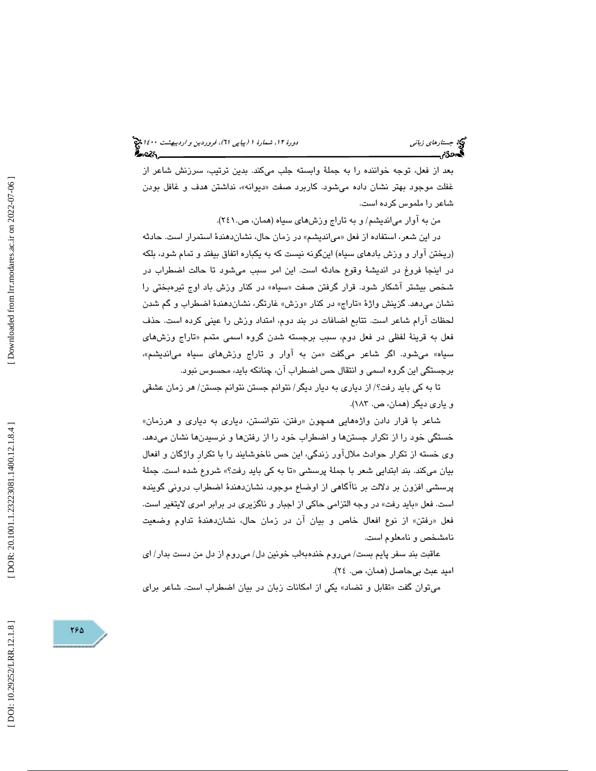(پياپي 61)، فروردين و ارديبهشت 1400 جستارهاي زباني دورة ،12 شمارة 1

 بعد از فعل، توجه خواننده را به جملة وابسته جلب ميكند. بدين ترتيب، سرزنش شاعر از غفلت موجود بهتر نشان داده میشود. کاربرد صفت «دیوانه»، نداشتن هدف و غافل بودن شاعر را ملموس كرده است.

من به آوار ميانديشم/ و به تاراج وزشهاي سياه ( همان، ص241. ).

در اين شعر، استفاده از فعل «مىانديشم» در زمان حال، نشاندهندهٔ استمرار است. حادثه (ريختن آوار و وزش بادهاي سياه) اينگونه نيست كه به يكباره اتفاق بيفتد و تمام شود، بلكه ر اينجا فروغ در انديشة وقوع حادثه است. اين امر سبب ميشود تا حالت اضطراب در د شخص بيشتر اشكار شود. قرار گرفتن صفت «سياه» در كنار وزش باد اوج تيرەبختي را نشان میدهد. گزینش واژهٔ «تاراج» در کنار «وزش» غارتگر، نشاندهندهٔ اضطراب و گم شدن لحظات آرام شاعر است. تتابع اضافات در بند دوم، امتداد وزش را عيني كرده است. حذف فعل به قرینهٔ لفظی در فعل دوم، سبب برجسته شدن گروه اسمی متمم «تاراج وزشها*ی* سياه» ميشود. اگر شاعر ميگفت «من به اوار و تاراج وزشهاي سياه ميانديشم»، برجستگي اين گروه اسمي و انتقال حس اضطراب آن، چنانكه بايد، محسوس نبود.

تا به كي بايد رفت؟/ از دياري به ديار ديگر/ نتوانم جستن نتوانم جستن/ هر زمان عشقي و ياري ديگر (همان، ص. ۱۸۳).

شاعر با قرار دادن واژههايي همچون «رفتن، نتوانستن، دياري به دياري و هرزمان» خستگي خود را از تكرار جستنها و اضطراب خود را از رفتنها و نرسيدنها نشان ميدهد. وي خسته از تكرار حوادث ملالآور زندگي، اين حس ناخوشايند را با تكرارِ واژگان و افعال بیان میکند. بند ابتدایی شعر با جملهٔ پرسشی «تا به کی باید رفت؟» شروع شده است. جملهٔ پرسشي افزون بر دلالت بر ناآگاهي از اوضاع موجود، نشاندهندة اضطراب دروني گوينده است. فعل «بايد رفت» در وجه التزامي حاكي از اجبار و ناگزيري در برابر امري لايتغير است. رفتن» از نوع افعال خاص و بيان آن در زمان حال، نشاندهندة تداوم وضعيت فعل « نامشخص و نامعلوم است.

عاقبت بند سفر پايم بست/ ميروم خندهبهلب خونين دل/ ميروم از دل من دست بدار/ اي اميد عبث بيحاصل (همان، ص. ٢٤).

میتوان گفت «تقابل و تضاد» یکی از امکانات زبان در بیان اضطراب است. شاعر برای

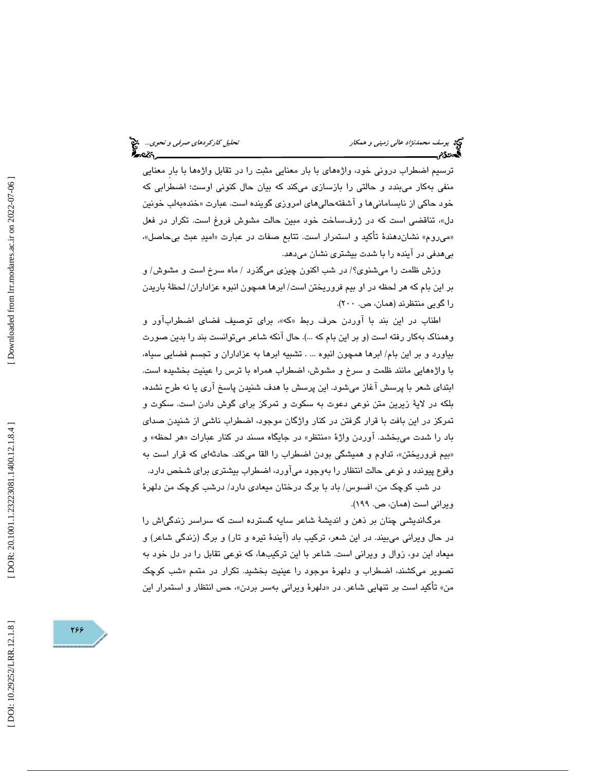ترسيم اضطراب دروني خود، واژههاي با بار معنايي مثبت را در تقابل واژهها با بارِ معنايي منفي بهكار ميبندد و حالتي را بازسازي ميكند كه بيان حال كنوني اوست؛ اضطرابي كه خود حاکی از نابسامانی۱ها و اشفتهحالی۱مای امروزی گوینده است. عبارت «خندهبهلب خونین »دل ، تناقضي است كه در ژرفساخت خود مبين حالت مشوش فروغ است. تكرار در فعل «ميروم» نشاندهندهٔ تاكيد و استمرار است. تتابع صفات در عبارت «اميدِ عبث بيحاصل»، بيهدفي در آينده را با شدت بيشتري نشان ميدهد.

وزش ظلمت را ميشنوي؟/ در شب اكنون چيزي ميگذرد / ماه سرخ است و مشوش/ و بر اين بام كه هر لحظه در او بيم فروريختن است/ ابرها همچون انبوه عزاداران/ لحظة باريدن را گويي منتظرند (همان، ص. ٢٠٠).

اطناب در اين بند با اوردن حرف ربط «كه»، برای توصيف فضای اضطراباور و وهمناك به كار رفته است (و بر اين بام كه ...) . حال آنكه شاعر ميتوانست بند را بدين صورت بياورد و بر اين بام/ ابرها همچون انبوه ... . تشبيه ابرها به عزاداران و تجسم فضايي سياه، با واژههايي مانند ظلمت و سرخ و مشوش، اضطراب همراه با ترس را عينيت بخشيده است. ابتداي شعر با پرسش آغاز ميشود. اين پرسش با هدف شنيدن پاسخ آري يا نه طرح نشده، بلكه در لاية زيرين متن نوعي دعوت به سكوت و تمركز براي گوش دادن است. سكوت و تمركز در اين بافت با قرار گرفتن در كنار واژگان موجود، اضطراب ناشي از شنيدن صداي باد را شدت میبخشد. اوردن واژهٔ «منتظر» در جایگاه مسند در کنار عبارات «هر لحظه» و «بیم فروریختن»، تداوم و همیشگی بودن اضطراب را القا میکند. حادثهای که قرار است به وقوع پيوندد و نوعي حالت انتظار را بهوجود ميآورد، اضطراب بيشتري براي شخص دارد.

در شب كوچك من، افسوس/ باد با برگ درختان ميعادي دارد/ درشب كوچك من دلهرة ويراني است (همان، ص. ١٩٩).

مرگانديشي چنان بر ذهن و انديشة شاعر سايه گسترده است كه سراسر زندگياش را در حال ويراني ميبيند. در اين شعر، تركيب باد (آيندة تيره و تار) و برگ (زندگي شاعر) و ميعاد اين دو، زوال و ويراني است. شاعر با اين تركيبها، كه نوعي تقابل را در دل خود به تصوير ميكشند، اضطراب و دلهرهٔ موجود را عينيت بخشيد. تكرار در متمم «شب كوچک من» تاكيد است بر تنهايي شاعر. در «دلهرهٔ ويراني بهسر بردن»، حس انتظار و استمرار اين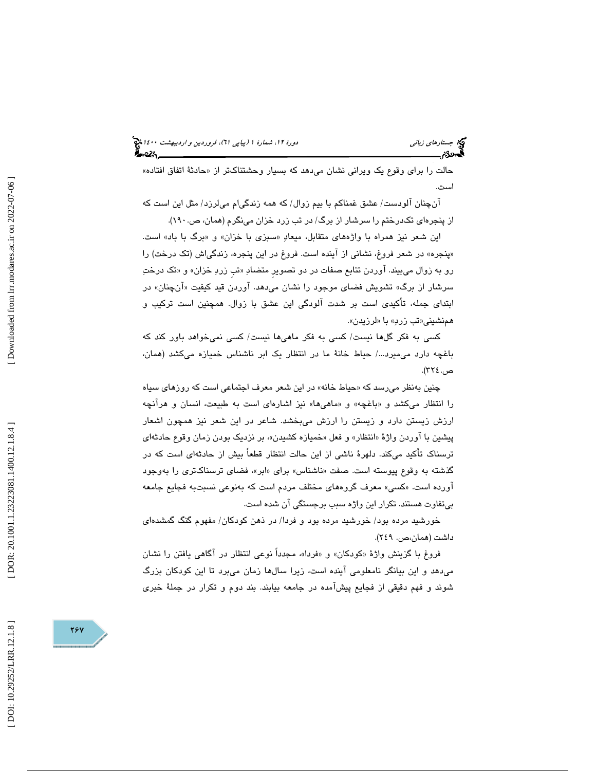حالت را برای وقوع یک ویرانی نشان میدهد که بسیار وحشتناکتر از «حادثهٔ اتفاق افتاده» است.

 آنچنان آلودست/ عشق غمناكم با بيم زوال/ كه همه زندگيام ميلرزد/ مثل اين است كه از پنجرهاي تكدرختم را سرشار از برگ/ در تب زرد خزان مينگرم (همان، ص190. .)

اين شعر نيز همراه با واژههاي متقابل، ميعادِ «سبزي با خزان» و «برگ با باد» است. پنجره» در شعر فروغ، نشاني از آينده است. فروغ در اين پنجره، زندگياش (تك درخت) را » رو به زوال ميبيند. اوردن تتابع صفات در دو تصوير متضادِ «تب زردِ خزان» و «تک درختِ سرشار از برگ» تشويش فضای موجود را نشان میدهد. اوردن قيد كيفيت «انچنان» در ابتداي جمله، تأكيدي است بر شدت آلودگي اين عشق با زوال. همچنين است تركيب و همنشيني«تب زربِ» با «لرزيدن».

كسي به فكر گلها نيست/ كسي به فكر ماهيها نيست/ كسي نميخواهد باور كند كه باغچه دارد مي ميرد.../ حياط خانة ما در انتظار يک ابر ناشناس خميازه مي كشد (همان، ص. ٢٢٤).

چنین بهنظر میرسد که «حیاط خانه» در این شعر معرف اجتماعی است که روزهای سیاه را انتظار مىكشد و «باغچه» و «ماهىها» نيز اشارهاى است به طبيعت، انسان و هرانچه ارزش زيستن دارد و زيستن را ارزش ميبخشد. شاعر در اين شعر نيز همچون اشعار پیشین با اوردن واژهٔ «انتظار» و فعل «خمیازه کشیدن»، بر نزدیک بودن زمان وقوع حادثهای ترسناک تأکید میکند. دلهرهٔ ناشی از این حالت انتظار قطعاً بیش از حادثهای است که در گذشته به وقوع پیوسته است. صفت «ناشناس» برای «ابر»، فضای ترسناکتری را بهوجود اورده است. «كسي» معرف گروههای مختلف مردم است كه بهنوعی نسبتبه فجايع جامعه بيتفاوت هستند. تكرار اين واژه سبب برجستگي آن شده است.

خورشيد مرده بود/ خورشيد مرده بود و فردا/ در ذهن كودكان/ مفهوم گنگ گمشدهاي داشت (همان،ص. ۲٤۹).

فروغ با گزينش واژهٔ «کودکان» و «فردا»، مجدداً نوعي انتظار در اگاهي يافتن را نشان ميدهد و اين بيانگر نامعلومي آينده است، زيرا سالها زمان ميبرد تا اين كودكان بزرگ شوند و فهم دقيقي از فجايع پيشآمده در جامعه بيابند. بند دوم و تكرار در جملهٔ خبري

784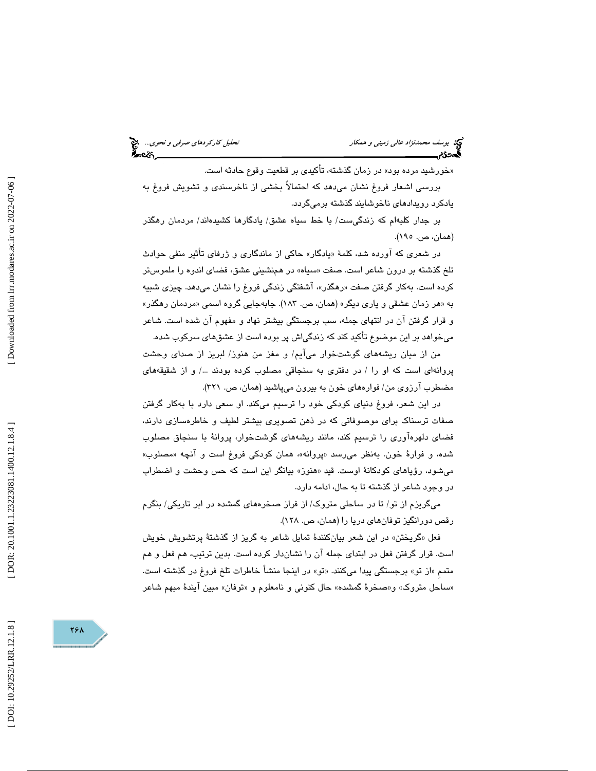خورشيد مرده بود» در زمان گذشته، تأكيدي بر قطعيت وقوع حادثه است. » بررسي اشعار فروغ نشان ميدهد كه احتمالاً بخشي از ناخرسندي و تشويش فروغ به

يادكرد رويدادهاي ناخوشايند گذشته برميگردد.

بر جدار كلبهام كه زندگيست/ با خط سياه عشق/ يادگارها كشيدهاند/ مردمان رهگذر (همان، ص. ۱۹۰).

در شعری که اورده شد، کلمهٔ «يادگار» حاکی از ماندگاری و ژرفای تأثیر منفی حوادث تلخ گذشته بر درون شاعر است. صفت «سیاه» در همنشینی عشق، فضای اندوه را ملموستر کرده است. بهکار گرفتن صفت «رهگذر»، اشفتگی زندگی فروغ را نشان میدهد. چیزی شبیه به «هر زمان عشقی و یاری دیگر» (همان، ص. ۱۸۳). جابهجایی گروه اسمی «مردمان رهگذر» و قرار گرفتن آن در انتهاي جمله، سب برجستگي بيشتر نهاد و مفهوم آن شده است. شاعر ميخواهد بر اين موضوع تأكيد كند كه زندگياش پر بوده است از عشقهاي سركوب شده.

من از ميان ريشههاي گوشتخوار ميآيم/ و مغز من هنوز/ لبريز از صداي وحشت پروانهای است كه او را / در دفترى به سنجاقى مصلوب كرده بودند .../ و از شقيقههاى مضطرب آرزوي من/ فوارههاي خون به بيرون ميپاشيد (همان، ص. ٣٢١).

در اين شعر، فروغ دنياي كودكي خود را ترسيم ميكند. او سعي دارد با بهكار گرفتن صفات ترسناك براي موصوفاتي كه در ذهن تصويري بيشتر لطيف و خاطرهسازي دارند، فضاي دلهرهآوري را ترسيم كند، مانند ريشههاي گوشتخوار، پروانة با سنجاق مصلوب شده، و فوارهٔ خون. بهنظر میرسد «پروانه»، همان کودکی فروغ است و انچه «مصلوب» میشود، رؤیاهای کودکانهٔ اوست. قید «هنوز» بیانگر این است که حس وحشت و اضطراب در وجود شاعر از گذشته تا به حال، ادامه دارد.

 ميگريزم از تو/ تا در ساحلي متروك/ از فراز صخرههاي گمشده در ابر تاريكي/ بنگرم رقص دورانگيز توفانهاي دريا را (همان، ص. ۱۲۸).

گريختن» در اين شعر بيانكنندة تمايل شاعر به گريز از گذشتة پرتشويش خويش فعل « است. قرار گرفتن فعل در ابتداي جمله آن را نشاندار كرده است. بدين ترتيب ، هم فعل و هم متمم «از تو» برجستگي پيدا ميكنند. «تو» در اينجا منشأ خاطرات تلخ فروغ در گذشته است. «ساحل متروک» و«صخرهٔ گمشده» حال کنونی و نامعلوم و «توفان» مبین ایندهٔ مبهم شاعر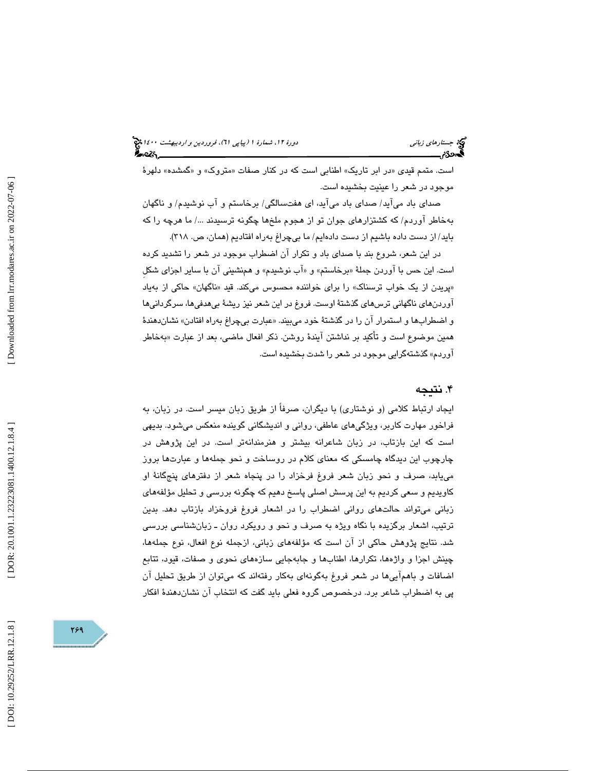## (پياپي 61)، فروردين و ارديبهشت 1400 جستارهاي زباني دورة ،12 شمارة 1

است. متمم قیدی «در ابر تاریک» اطنابی است که در کنار صفات «متروک» و «گمشده» دلهرهٔ موجود در شعر را عينيت بخشيده است.

صداي باد ميآيد/ صداي باد ميآيد، اي هفتسالگي/ برخاستم و آب نوشيدم/ و ناگهان بهخاطر آوردم/ كه كشتزارهاي جوان تو از هجوم ملخها چگونه ترسيدند /... ما هرچه را كه بايد/ از دست داده باشيم از دست دادهايم/ ما بيچراغ بهراه افتاديم (همان ، ص. 318 .)

در اين شعر، شروع بند با صداي باد و تكرار آن اضطراب موجود در شعر را تشديد كرده است. اين حس با اوردن جملهٔ «برخاستم» و «اب نوشيدم» و همنشيني ان با ساير اجزاي شكل «پریدن از یک خواب ترسناک» را برای خواننده محسوس میکند. قید «ناگهان» حاکی از بهیاد آوردنهاي ناگهاني ترسهاي گذشتة اوست. فروغ در اين شعر نيز ريشة بيهدفيها، سرگردانيها و اضطرابها و استمرار ان را در گذشتهٔ خود میبیند. «عبارت بیچراغ بهراه افتادن» نشاندهندهٔ همين موضوع است و تاكيد بر نداشتن ايندهٔ روشن. ذكر افعال ماضـي، بعد از عبارت «بەخاطر آوردم» گذشتهگرايي موجود در شعر را شدت بخشيده است.

## . 4 نتيجه

ايجاد ارتباط كلامي (و نوشتاري) با ديگران، صرفاً از طريق زبان ميسر است. در زبان، به فراخور مهارت كاربر، ويژگيهاي عاطفي، رواني و انديشگاني گوينده منعكس ميشود. بديهي است كه اين بازتاب، در زبان شاعرانه بيشتر و هنرمندانهتر است. در اين پژوهش در چارچوب اين ديدگاه چامسكي كه معناي كلام در روساخت و نحو جملهها و عبارتها بروز مييابد، صرف و نحو زبان شعر فروغ فرخزاد را در پنجاه شعر از دفترهاي پنجگانة او كاويديم و سعي كرديم به اين پرسش اصلي پاسخ دهيم كه چگونه بررسي و تحليل مؤلفههاي زباني ميتواند حالتهاي رواني اضطراب را در اشعار فروغ فروخزاد بازتاب دهد. بدين ترتيب، اشعار برگزيده با نگاه ويژه به صرف و نحو و رويكرد روان ـ زبانشناسي بررسي شد. نتايج پژوهش حاكي از آن است كه مؤلفههاي زباني، ازجمله نوع افعال، نوع جملهها، چينش اجزا و واژهها، تكرارها، اطنابها و جابهجايي سازههاي نحوي و صفات، قيود، تتابع اضافات و باهم آييها در شعر فروغ بهگونهاي بهكار رفتهاند كه ميتوان از طريق تحليل آن پي به اضطراب شاعر برد. درخصوص گروه فعلي بايد گفت كه انتخاب آن نشاندهندة افكار

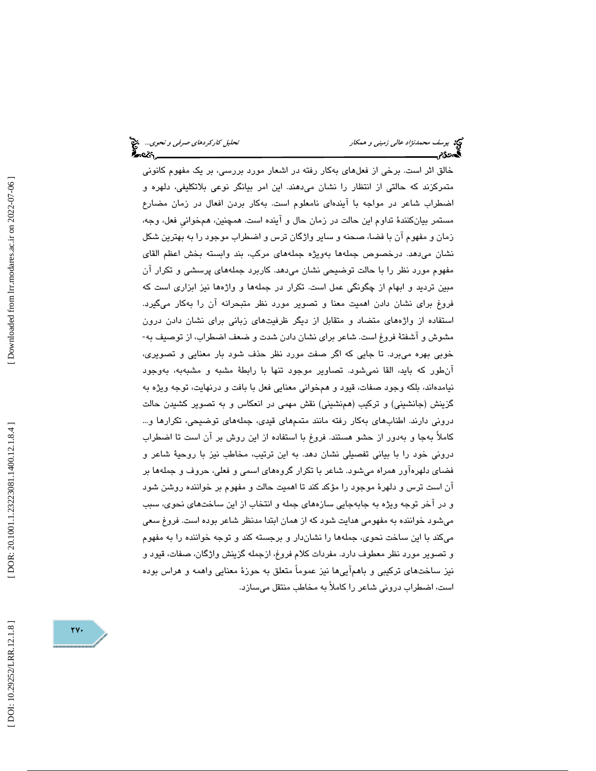خالق اثر است. برخي از فعلهاي بهكار رفته در اشعار مورد بررسي، بر يك مفهوم كانوني متمركزند كه حالتي از انتظار را نشان ميدهند. اين امر بيانگر نوعي بلاتكليفي، دلهره و اضطراب شاعر در مواجه با آيندهاي نامعلوم است. بهكار بردن افعال در زمان مضارع مستمر بيانكنندة تداوم اين حالت در زمان حال و آينده است. همچنين ، همخوانيِ فعل، وجه، زمان و مفهوم آن با فضا، صحنه و ساير واژگان ترس و اضطراب موجود را به بهترين شكل نشان ميدهد. درخصوص جملهها بهويژه جملههاي مركب، بند وابسته بخش اعظم القاي مفهوم مورد نظر را با حالت توضيحي نشان ميدهد. كاربرد جملههاي پرسشي و تكرار آن مبين ترديد و ابهام از چگونگي عمل است. تكرار در جملهها و واژهها نيز ابزاري است كه فروغ براي نشان دادن اهميت معنا و تصوير مورد نظر متبحرانه آن را بهكار ميگيرد. استفاده از واژههاي متضاد و متقابل از ديگر ظرفيتهاي زباني براي نشان دادن درون مشوش و آشفتة فروغ است. شاعر براي نشان دادن شدت و ضعف اضطراب، از توصيف به- خوبي بهره ميبرد. تا جايي كه اگر صفت مورد نظر حذف شود بار معنايي و تصويري، آنطور كه بايد، القا نميشود. تصاوير موجود تنها با رابطة مشبه و مشبهبه، بهوجود نيامدهاند، بلكه وجود صفات، قيود و همخواني معنايي فعل با بافت و درنهايت، توجه ويژه به گزينش (جانشيني) و تركيب (همنشيني) نقش مهمي در انعكاس و به تصوير كشيدن حالت دروني دارند. اطنابهاي بهكار رفته مانند متممهاي قيدي، جملههاي توضيحي، تكرارها و... كاملاً بهجا و بهدور از حشو هستند. فروغ با استفاده از اين روش بر آن است تا اضطراب دروني خود را با بياني تفصيلي نشان دهد. به اين ترتيب ، مخاطب نيز با روحية شاعر و فضاي دلهرهآور همراه ميشود. شاعر با تكرار گروههاي اسمي و فعلي، حروف و جملهها بر آن است ترس و دلهرة موجود را مؤكد كند تا اهميت حالت و مفهوم بر خواننده روشن شود و در آخر توجه ويژه به جابهجايي سازههاي جمله و انتخاب از اين ساختهاي نحوي، سبب ميشود خواننده به مفهومي هدايت شود كه از همان ابتدا مدنظر شاعر بوده است. فروغ سعي ميكند با اين ساخت نحوي، جملهها را نشاندار و برجسته كند و توجه خواننده را به مفهوم و تصوير مورد نظر معطوف دارد. مفردات كلام فروغ، ازجمله گزينش واژگان، صفات، قيود و نيز ساختهاي تركيبي و باهم آييها نيز عموماً متعلق به حوزة معنايي واهمه و هراس بوده است، اضطراب دروني شاعر را كاملاً به مخاطب منتقل ميسازد.

Downloaded from lrr.modares.ac.ir on 2022-07-06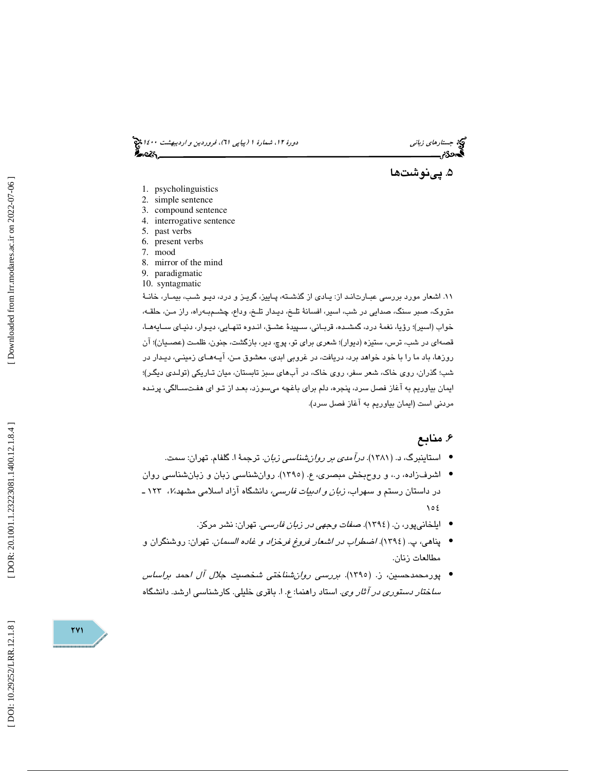(پياپي 61)، فروردين و ارديبهشت 1400 جستارهاي زباني دورة ،12 شمارة 1

. پينوشت ها 5

- 1. psycholinguistics
- 2. simple sentence
- 3. compound sentence
- 4. interrogative sentence
- 5. past verbs
- 6. present verbs 7. mood
- 
- 8. mirror of the mind 9. paradigmatic
- 10. syntagmatic

١١. اشعار مورد بررسي عبـارت|نـد از: يـادي از گذشـته، پـاييز، گريـز و درد، ديـو شـب، بيمـار، خانـهٔ متروك، صبر سنگ، صدايي در شب، اسير، افسانة تلـخ، ديـدار تلـخ، وداع، چشـم بـه راه، راز مـن، حلقـه، خواب (اسير)؛ رؤيا، نغمة درد، گمشـده، قربـاني، سـپيدة عشـق، انـدوه تنهـايي، ديـوار، دنيـاي سـايه هـا، قصـهاي در شب، ترس، ستيزه (ديوار)؛ شـعري براي تو، پوچ، دير، بازگشت، جنون، ظلمـت (عصـيـان)؛ آن روزها، باد ما را با خود خواهد برد، دريافت، در غروبي ابدي، معشوق مـن، آيـه هـاي زمينـي، ديـدار در ؛ شب؛ گذران، روي خاك، شعر سفر، روي خاك، در آبهاي سبز تابستان، ميان تـاريكي (تولـدي ديگـر ) ايمان بياوريم به آغاز فصل سرد، پنجره، دلم براي باغچه ميسوزد، بعـد از تـو اي هفـت سـالگي، پرنـده مردني است (ايمان بياوريم به آغاز فصل سرد).

## . 6 منابع

- استاینبرگ، د. (۱۳۸۱). *درآمدی بر روانشناسی زبان*. ترجمهٔ ا. گلفام. تهران: سمت.
- اشرف(اده، ر.، و روحبخش مبصري، ع. (١٣٩٥). روانشناسي زبان و زبانشناسي روان در داستان رستم و سهراب، *زبان و ادبیات فارسی،* دانشگاه ازاد اسلامی مشهد،۷، ۱۲۳ ـ  $105$ 
	- ایلخانیپور، ن. (١٣٩٤). ص*فات وجهی در زبان فارسی*. تهران: نشر مركز.
- پناهي، پ. (1394). اضطراب در اشعار فروغ فرخزاد و غاده السمان. تهران: روشنگران و مطالعات زنان .
- پورمحمدحسين، (ز. 1395). بررسي روانشناختي شخصيت جلال آل احمد براساس *ساختار دستوری در آثار وی.* استاد راهنما: ع. ا. باقری خلیلی. کارشناسی ارشد. دانشگاه

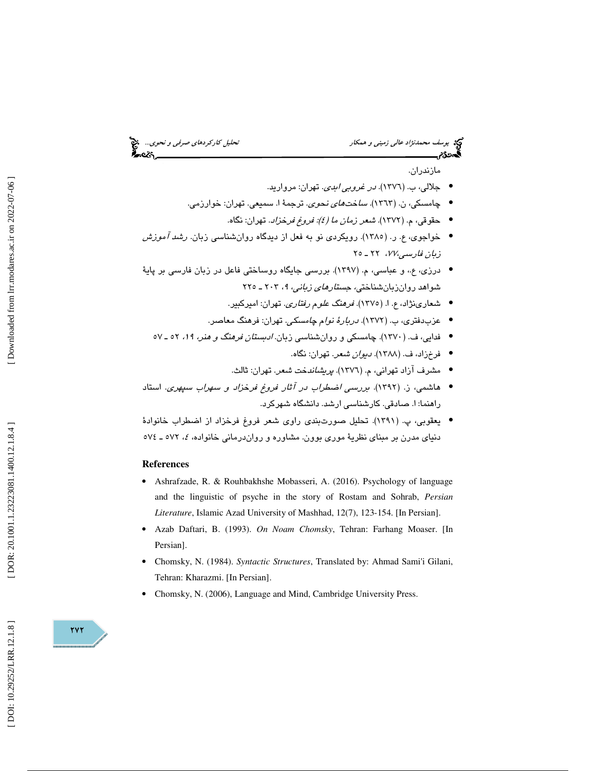# قحلیل كاركرد*هاي صرفي و نحوي...*.. پن<mark>ي</mark><br>است است است است است انتخاب**ه**

# يوسف محم*دنژاد عالي زميني و همکار*<br>**پھونگائريسسسسس**سسسسسسسسسسسسسسسس

مازندران .

- جلالي، ب. (١٣٧٦). *در غروبي ابدي*. تهران: مرواريد.
- چامسكي، ن. (١٣٦٣). *ساختهاي نحوي*. ترجمهٔ ا. سم**يع**ي. تهران: خوارزمي.
	- حقوقي، (م. 1372). شعر زمان ما (4): فروغ فرخزاد. تهران: نگاه. •
- خواجوي، ع. ر. (١٣٨٥). رويكردي نو به فعل از ديدگاه روانشناسي زبان. *رشد آموزش*  $\mathsf{Y} \circ \mathsf{Y} \mathsf{Y}$ ،  $\mathsf{Y} \mathsf{Y}$ ،  $\mathsf{Y} \circ \mathsf{Y}$
- درزی، ع.، و عباسی، م. (١٣٩٧). بررسی جایگاه روساختی فاعل در زبان فارسی بر پایهٔ شىواھد روان زبان شناخت*ى، جستارماى زبانى، ٩،* ٢٠٣ ـ ٢٢٥
	- شعارينژاد، ع. ا. ( 1375). فرهنگ علوم رفتاري. تهران: اميركبير . •
	- عزبدفتري، ب. (١٣٧٢). *دربارهٔ نوام چامسكي*. تهران: فرهنگ معاصر.
	- فدايي، ف. (١٣٧٠). چامسكي و روان شناسي زبان *. ادبستان فرهنگ و هنر، ١٩،* ٢٥ ـ ٥٧ •
		- فرخزاد، ف. (۱۳۸۸). *ديوان شعر*. تهران: نگاه.
		- مشرف آزاد تهرانی، م. (١٣٧٦). *پریشاندخت شعر*. تهران: ثالث.
- هاشمي، ز. (1392). بررسي اضطراب در آثار فروغ فرخزاد و سهراب سپهري. استاد راهنما: ا. صادقي. كارشناسي ارشد. دانشگاه شهركرد.
- يعقوبي، پ. (1391). تحليل صورتبندي راوي شعر فروغ فرخزاد از اضطراب خانوادة دنیای مدرن بر مبنای نظریهٔ موری بوون. مشاوره و رواندرمانی خانواده، ٤، ٥٧٢ ـ ٧٧٤

### **References**

- Ashrafzade, R. & Rouhbakhshe Mobasseri, A. (2016). Psychology of language and the linguistic of psyche in the story of Rostam and Sohrab, *Persian Literature*, Islamic Azad University of Mashhad, 12(7), 123-154. [In Persian].
- Azab Daftari, B. (1993). *On Noam Chomsky*, Tehran: Farhang Moaser. [In Persian].
- Chomsky, N. (1984). *Syntactic Structures*, Translated by: Ahmad Sami'i Gilani, Tehran: Kharazmi. [In Persian].
- Chomsky, N. (2006), Language and Mind, Cambridge University Press.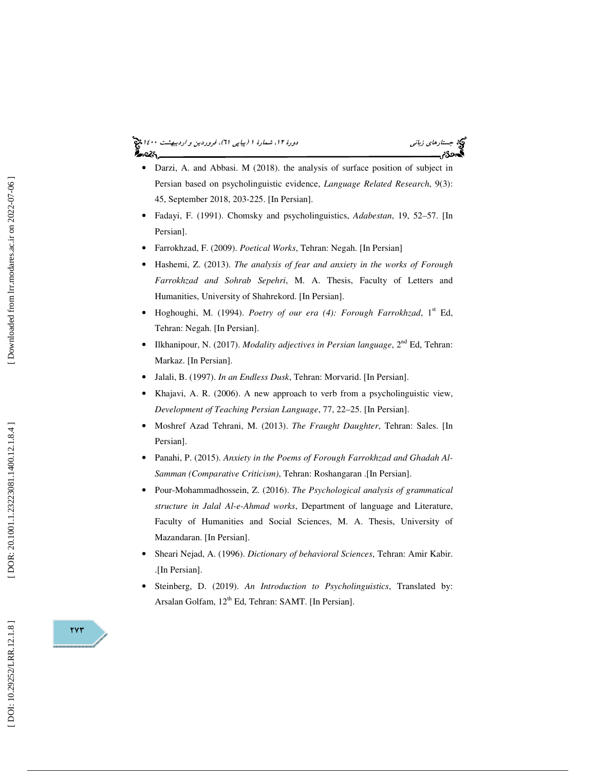### (پياپي 61)، فروردين و ارديبهشت 1400 جستارهاي زباني دورة ،12 شمارة 1 આ પા

- Darzi, A. and Abbasi. M (2018), the analysis of surface position of subject in Persian based on psycholinguistic evidence, *Language Related Research*, 9(3): 45, September 2018, 203-225. [In Persian].
- Fadayi, F. (1991). Chomsky and psycholinguistics, *Adabestan*, 19, 52–57. [In Persian].
- Farrokhzad, F. (2009). *Poetical Works*, Tehran: Negah. [In Persian]
- Hashemi, Z. (2013). *The analysis of fear and anxiety in the works of Forough Farrokhzad and Sohrab Sepehri*, M. A. Thesis, Faculty of Letters and Humanities, University of Shahrekord. [In Persian].
- Hoghoughi, M. (1994). *Poetry of our era (4): Forough Farrokhzad*, 1<sup>st</sup> Ed, Tehran: Negah. [In Persian].
- Ilkhanipour, N. (2017). *Modality adjectives in Persian language*, 2<sup>nd</sup> Ed, Tehran: Markaz. [In Persian].
- Jalali, B. (1997). *In an Endless Dusk*, Tehran: Morvarid. [In Persian].
- Khajavi, A. R. (2006). A new approach to verb from a psycholinguistic view, *Development of Teaching Persian Language*, 77, 22–25. [In Persian].
- Moshref Azad Tehrani, M. (2013). *The Fraught Daughter*, Tehran: Sales. [In Persian].
- Panahi, P. (2015). *Anxiety in the Poems of Forough Farrokhzad and Ghadah Al-Samman (Comparative Criticism)*, Tehran: Roshangaran .[In Persian].
- Pour-Mohammadhossein, Z. (2016). *The Psychological analysis of grammatical structure in Jalal Al-e-Ahmad works*, Department of language and Literature, Faculty of Humanities and Social Sciences, M. A. Thesis, University of Mazandaran. [In Persian].
- Sheari Nejad, A. (1996). *Dictionary of behavioral Sciences*, Tehran: Amir Kabir. .[In Persian].
- Steinberg, D. (2019). *An Introduction to Psycholinguistics*, Translated by: Arsalan Golfam, 12<sup>th</sup> Ed, Tehran: SAMT. [In Persian].